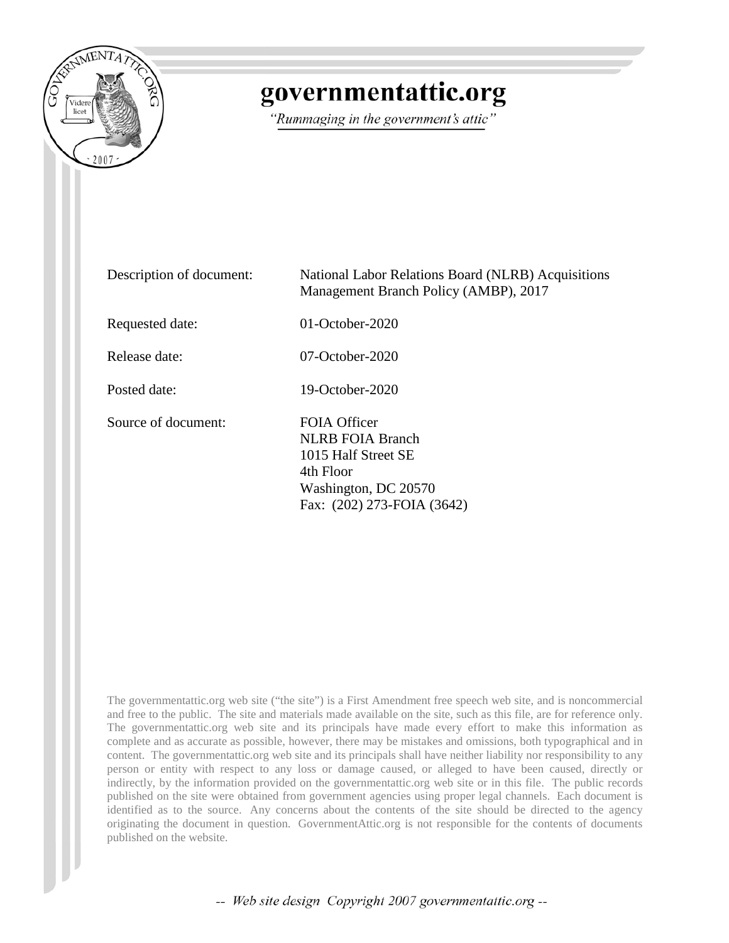

# governmentattic.org

"Rummaging in the government's attic"

| Description of document: | National Labor Relations Board (NLRB) Acquisitions<br>Management Branch Policy (AMBP), 2017                                |
|--------------------------|----------------------------------------------------------------------------------------------------------------------------|
| Requested date:          | $01$ -October-2020                                                                                                         |
| Release date:            | $07$ -October-2020                                                                                                         |
| Posted date:             | $19$ -October-2020                                                                                                         |
| Source of document:      | FOIA Officer<br>NLRB FOIA Branch<br>1015 Half Street SE<br>4th Floor<br>Washington, DC 20570<br>Fax: (202) 273-FOIA (3642) |

The governmentattic.org web site ("the site") is a First Amendment free speech web site, and is noncommercial and free to the public. The site and materials made available on the site, such as this file, are for reference only. The governmentattic.org web site and its principals have made every effort to make this information as complete and as accurate as possible, however, there may be mistakes and omissions, both typographical and in content. The governmentattic.org web site and its principals shall have neither liability nor responsibility to any person or entity with respect to any loss or damage caused, or alleged to have been caused, directly or indirectly, by the information provided on the governmentattic.org web site or in this file. The public records published on the site were obtained from government agencies using proper legal channels. Each document is identified as to the source. Any concerns about the contents of the site should be directed to the agency originating the document in question. GovernmentAttic.org is not responsible for the contents of documents published on the website.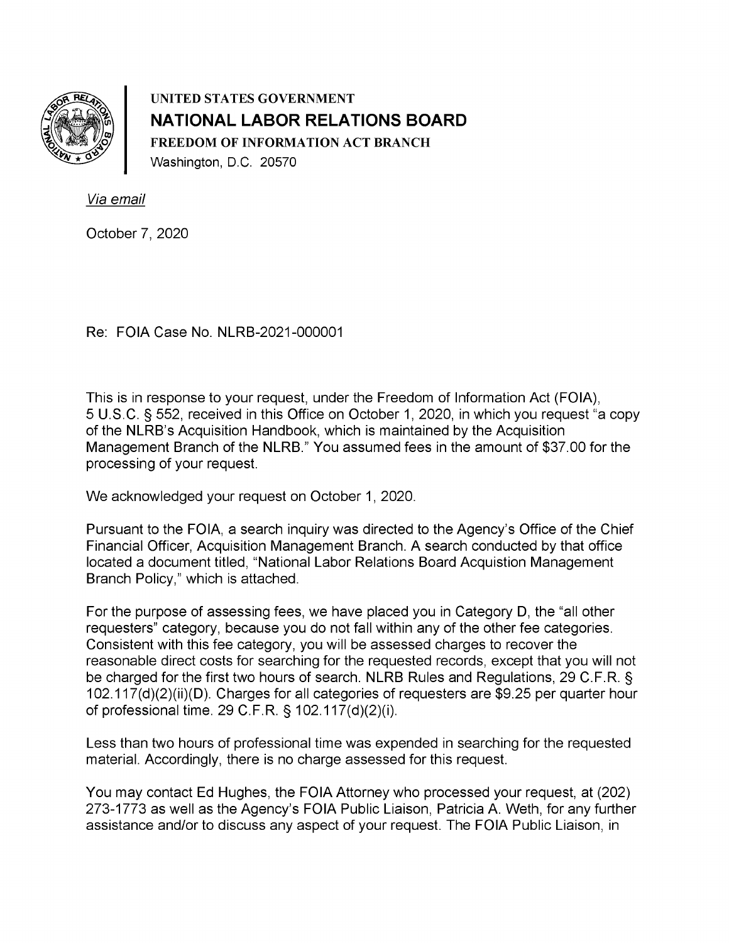

**UNITED STATES GOVERNMENT NATIONAL LABOR RELATIONS BOARD FREEDOM OF INFORMATION ACT BRANCH**  Washington, D.C. 20570

Via email

October 7, 2020

Re: FOIA Case No. NLRB-2021-000001

This is in response to your request, under the Freedom of Information Act (FOIA), 5 U.S.C. § 552, received in this Office on October 1, 2020, in which you request "a copy of the NLRB's Acquisition Handbook, which is maintained by the Acquisition Management Branch of the NLRB." You assumed fees in the amount of \$37.00 for the processing of your request.

We acknowledged your request on October 1, 2020.

Pursuant to the FOIA, a search inquiry was directed to the Agency's Office of the Chief Financial Officer, Acquisition Management Branch. A search conducted by that office located a document titled, "National Labor Relations Board Acquistion Management Branch Policy," which is attached.

For the purpose of assessing fees, we have placed you in Category D, the "all other requesters" category, because you do not fall within any of the other fee categories. Consistent with this fee category, you will be assessed charges to recover the reasonable direct costs for searching for the requested records, except that you will not be charged for the first two hours of search. NLRB Rules and Regulations, 29 C.F.R. § 102.117(d)(2)(ii)(D). Charges for all categories of requesters are \$9.25 per quarter hour of professional time. 29 C.F.R. § 102.117(d)(2)(i).

Less than two hours of professional time was expended in searching for the requested material. Accordingly, there is no charge assessed for this request.

You may contact Ed Hughes, the FOIA Attorney who processed your request, at (202) 273-1773 as well as the Agency's FOIA Public Liaison, Patricia A. Weth, for any further assistance and/or to discuss any aspect of your request. The FOIA Public Liaison, in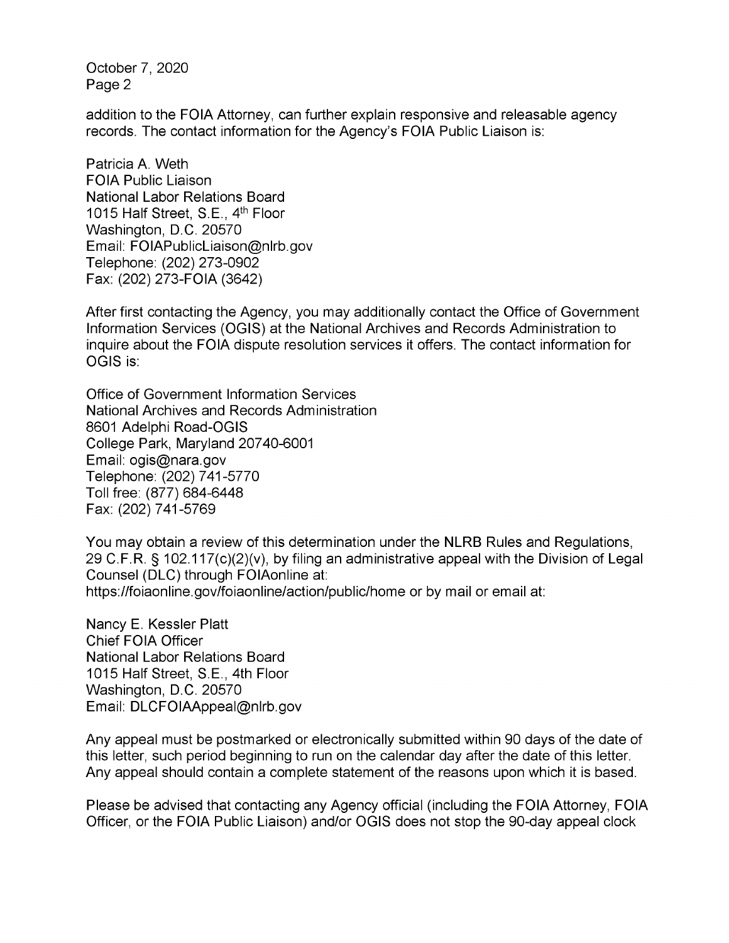October 7, 2020 Page 2

addition to the FOIA Attorney, can further explain responsive and releasable agency records. The contact information for the Agency's FOIA Public Liaison is:

Patricia A. Weth FOIA Public Liaison National Labor Relations Board 1015 Half Street, S.E., 4<sup>th</sup> Floor Washington, D.C. 20570 Email: FOIAPublicLiaison@nlrb.gov Telephone: (202) 273-0902 Fax: (202) 273-FOIA (3642)

After first contacting the Agency, you may additionally contact the Office of Government Information Services (OGIS) at the National Archives and Records Administration to inquire about the FOIA dispute resolution services it offers. The contact information for OGIS is:

Office of Government Information Services National Archives and Records Administration 8601 Adelphi Road-OGIS College Park, Maryland 207 40-6001 Email: ogis@nara.gov Telephone: (202) 7 41-5770 Toll free: (877) 684-6448 Fax: (202) 741-5769

You may obtain a review of this determination under the NLRB Rules and Regulations, 29 C.F.R. § 102.117(c)(2)(v), by filing an administrative appeal with the Division of Legal Counsel (DLC) through FOIAonline at: https://foiaonline.gov/foiaonline/action/public/home or by mail or email at:

Nancy E. Kessler Platt Chief FOIA Officer National Labor Relations Board 1015 Half Street, S.E., 4th Floor Washington, D.C. 20570 Email: DLCFOIAAppeal@nlrb.gov

Any appeal must be postmarked or electronically submitted within 90 days of the date of this letter, such period beginning to run on the calendar day after the date of this letter. Any appeal should contain a complete statement of the reasons upon which it is based.

Please be advised that contacting any Agency official (including the FOIA Attorney, FOIA Officer, or the FOIA Public Liaison) and/or OGIS does not stop the 90-day appeal clock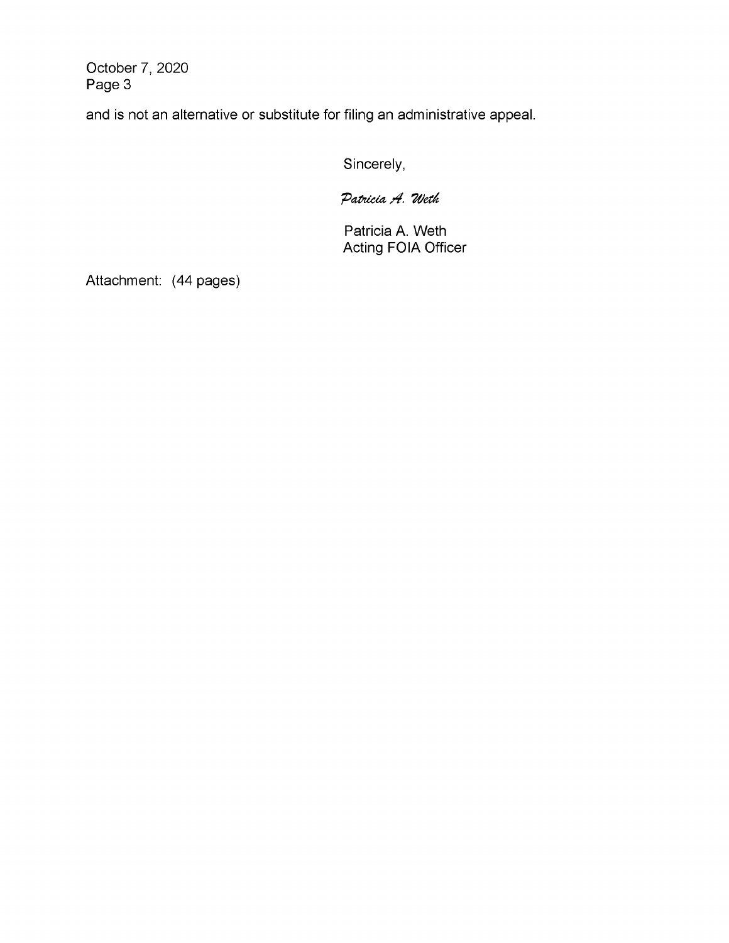October 7, 2020 Page 3

and is not an alternative or substitute for filing an administrative appeal.

Sincerely,

Patricia A. Weth

Patricia A. Weth Acting FOIA Officer

Attachment: (44 pages)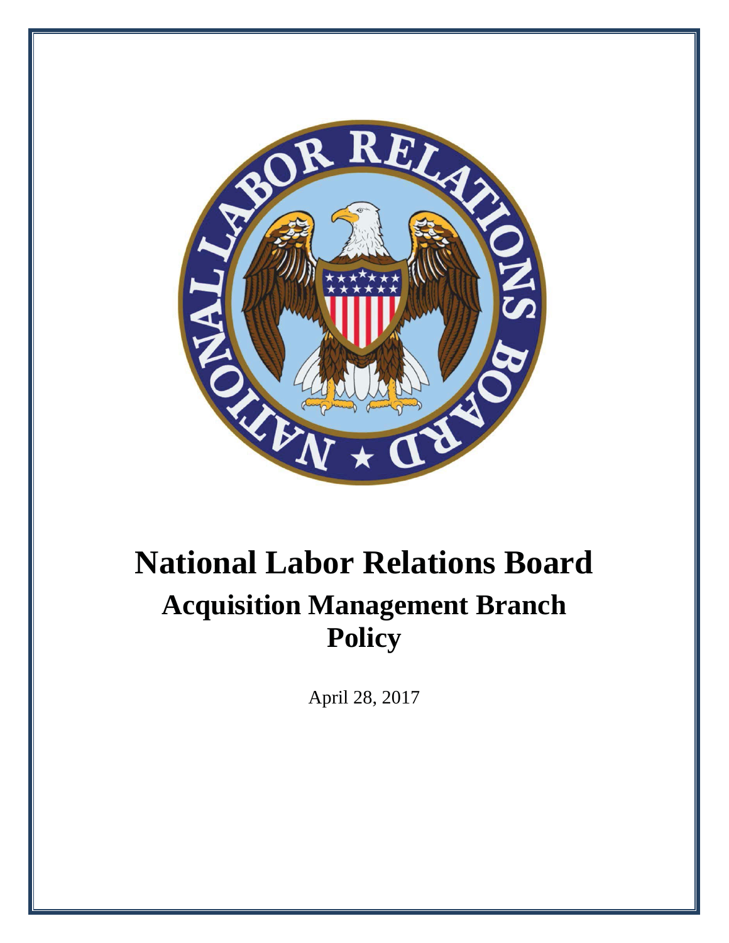

# **National Labor Relations Board Acquisition Management Branch Policy**

April 28, 2017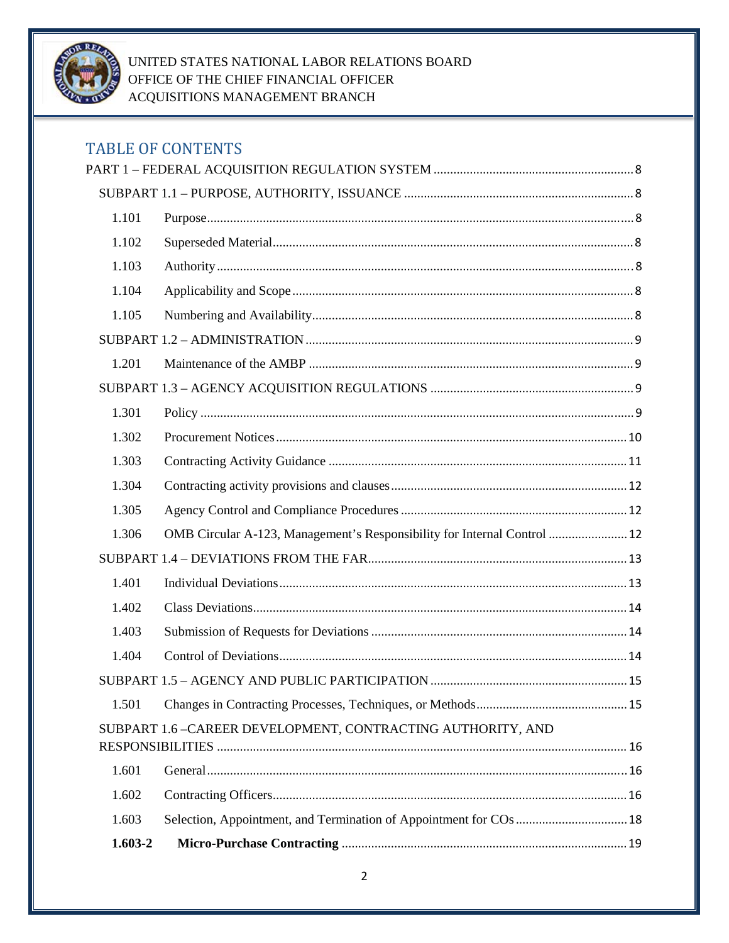

|         | <b>TABLE OF CONTENTS</b>                                                 |  |
|---------|--------------------------------------------------------------------------|--|
|         |                                                                          |  |
|         |                                                                          |  |
| 1.101   |                                                                          |  |
| 1.102   |                                                                          |  |
| 1.103   |                                                                          |  |
| 1.104   |                                                                          |  |
| 1.105   |                                                                          |  |
|         |                                                                          |  |
| 1.201   |                                                                          |  |
|         |                                                                          |  |
| 1.301   |                                                                          |  |
| 1.302   |                                                                          |  |
| 1.303   |                                                                          |  |
| 1.304   |                                                                          |  |
| 1.305   |                                                                          |  |
| 1.306   | OMB Circular A-123, Management's Responsibility for Internal Control  12 |  |
|         |                                                                          |  |
| 1.401   |                                                                          |  |
| 1.402   |                                                                          |  |
| 1.403   |                                                                          |  |
| 1.404   |                                                                          |  |
|         |                                                                          |  |
| 1.501   |                                                                          |  |
|         | SUBPART 1.6 -CAREER DEVELOPMENT, CONTRACTING AUTHORITY, AND              |  |
| 1.601   |                                                                          |  |
| 1.602   |                                                                          |  |
| 1.603   |                                                                          |  |
| 1.603-2 |                                                                          |  |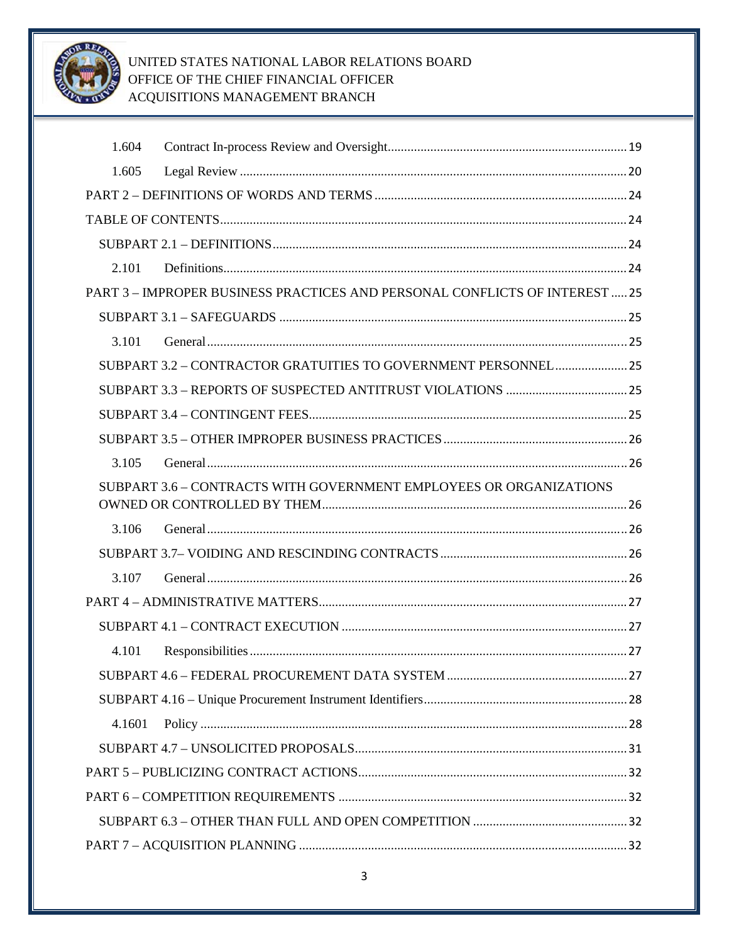

| 1.604  |                                                                             |  |
|--------|-----------------------------------------------------------------------------|--|
| 1.605  |                                                                             |  |
|        |                                                                             |  |
|        |                                                                             |  |
|        |                                                                             |  |
| 2.101  |                                                                             |  |
|        | PART 3 - IMPROPER BUSINESS PRACTICES AND PERSONAL CONFLICTS OF INTEREST  25 |  |
|        |                                                                             |  |
| 3.101  |                                                                             |  |
|        | SUBPART 3.2 - CONTRACTOR GRATUITIES TO GOVERNMENT PERSONNEL 25              |  |
|        |                                                                             |  |
|        |                                                                             |  |
|        |                                                                             |  |
| 3.105  |                                                                             |  |
|        | SUBPART 3.6 - CONTRACTS WITH GOVERNMENT EMPLOYEES OR ORGANIZATIONS          |  |
|        |                                                                             |  |
| 3.106  |                                                                             |  |
|        |                                                                             |  |
| 3.107  |                                                                             |  |
|        |                                                                             |  |
|        |                                                                             |  |
| 4.101  |                                                                             |  |
|        |                                                                             |  |
|        |                                                                             |  |
| 4.1601 |                                                                             |  |
|        |                                                                             |  |
|        |                                                                             |  |
|        |                                                                             |  |
|        |                                                                             |  |
|        |                                                                             |  |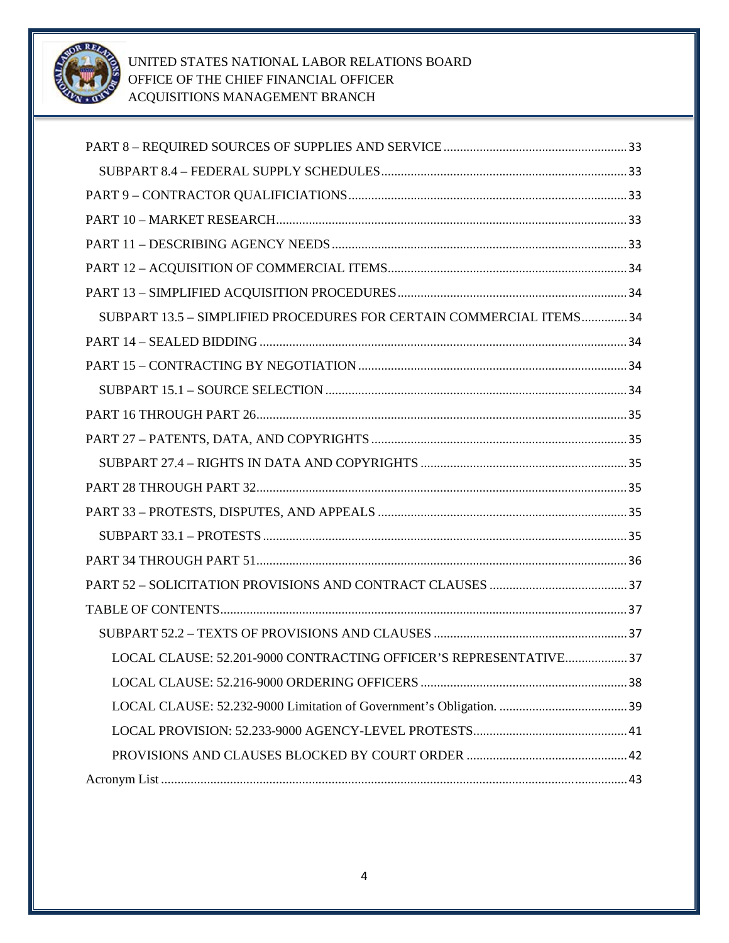

| SUBPART 13.5 - SIMPLIFIED PROCEDURES FOR CERTAIN COMMERCIAL ITEMS34 |
|---------------------------------------------------------------------|
|                                                                     |
|                                                                     |
|                                                                     |
|                                                                     |
|                                                                     |
|                                                                     |
|                                                                     |
|                                                                     |
|                                                                     |
|                                                                     |
|                                                                     |
|                                                                     |
|                                                                     |
| LOCAL CLAUSE: 52.201-9000 CONTRACTING OFFICER'S REPRESENTATIVE37    |
|                                                                     |
|                                                                     |
|                                                                     |
|                                                                     |
|                                                                     |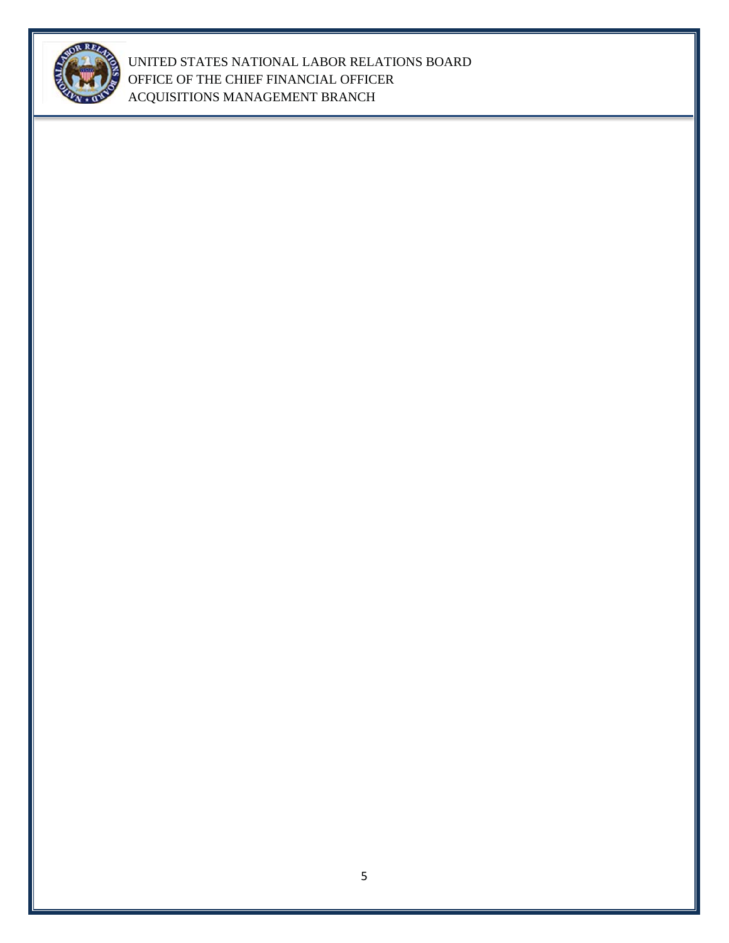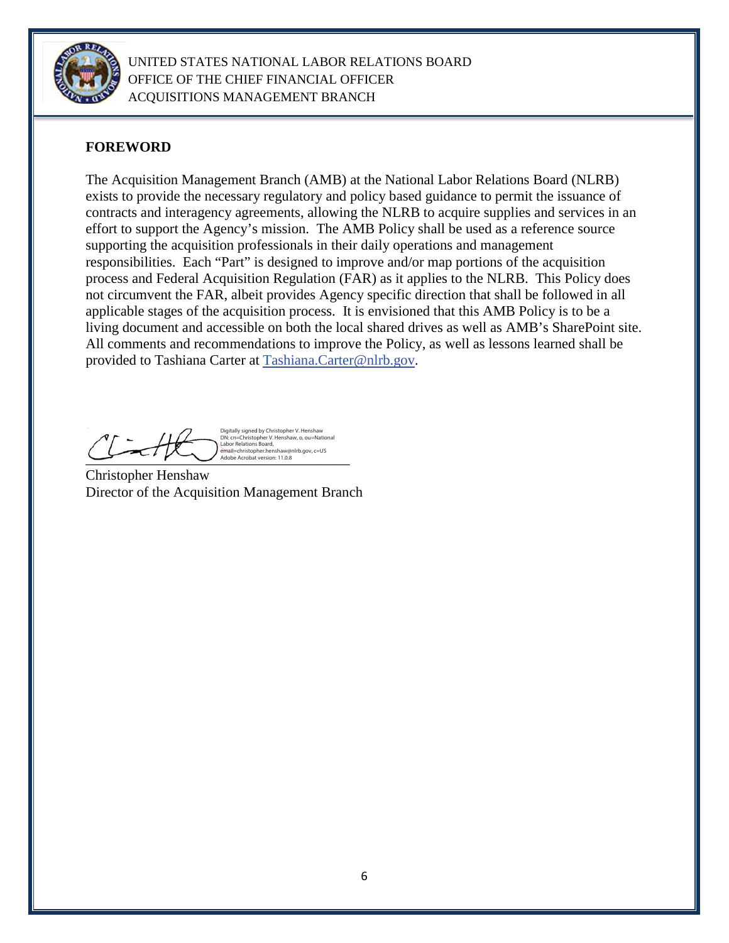

# **FOREWORD**

The Acquisition Management Branch (AMB) at the National Labor Relations Board (NLRB) exists to provide the necessary regulatory and policy based guidance to permit the issuance of contracts and interagency agreements, allowing the NLRB to acquire supplies and services in an effort to support the Agency's mission. The AMB Policy shall be used as a reference source supporting the acquisition professionals in their daily operations and management responsibilities. Each "Part" is designed to improve and/or map portions of the acquisition process and Federal Acquisition Regulation (FAR) as it applies to the NLRB. This Policy does not circumvent the FAR, albeit provides Agency specific direction that shall be followed in all applicable stages of the acquisition process. It is envisioned that this AMB Policy is to be a living document and accessible on both the local shared drives as well as AMB's SharePoint site. All comments and recommendations to improve the Policy, as well as lessons learned shall be provided to Tashiana Carter at Tashiana.Carter@nlrb.gov.

email=christopher.henshaw@nlrb.gov, c=US<br>Adobe Acrobat version: 11.0.8 Digitally signed by Christopher V. Henshaw DN: cn=Christopher V. Henshaw, o, ou=National Labor Relations Board,

Christopher Henshaw Director of the Acquisition Management Branch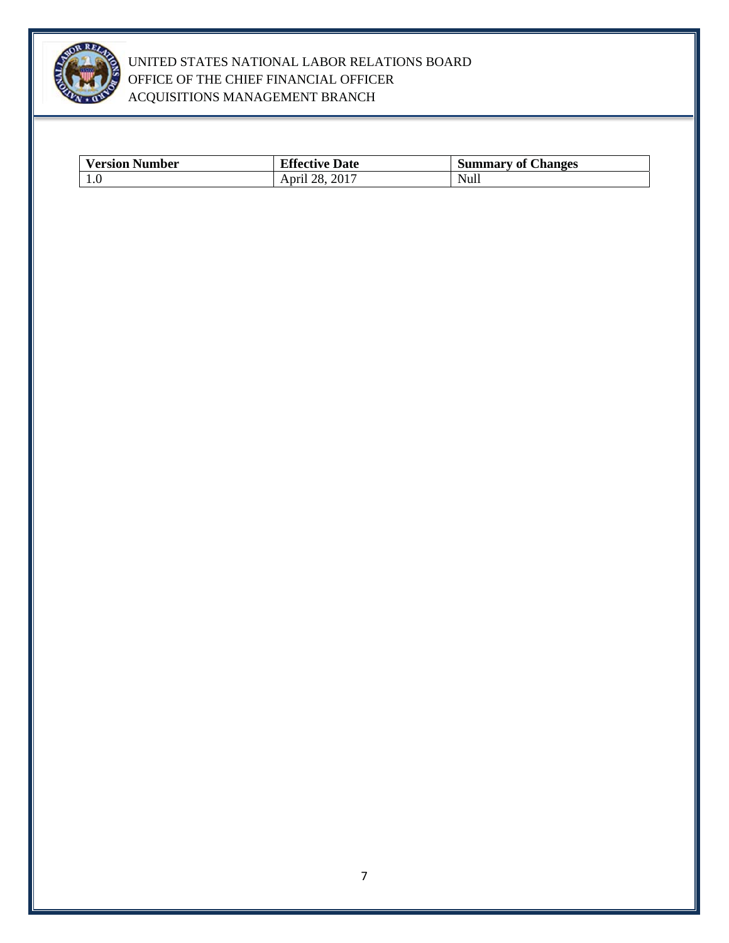

| $ -$                  | <b>Effective</b>     | <b>Changes</b> |
|-----------------------|----------------------|----------------|
| <b>Version Number</b> | Date                 | Summary of C   |
| 1.0                   | 2017<br>28.<br>April | <b>Null</b>    |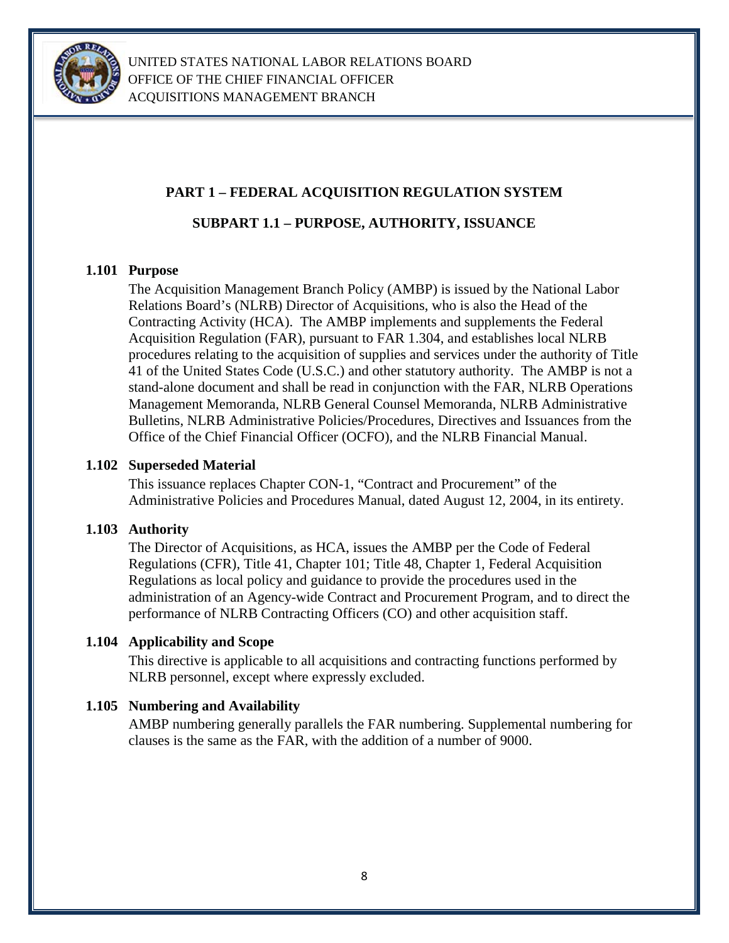

# **PART 1 – FEDERAL ACQUISITION REGULATION SYSTEM**

# **SUBPART 1.1 – PURPOSE, AUTHORITY, ISSUANCE**

# **1.101 Purpose**

The Acquisition Management Branch Policy (AMBP) is issued by the National Labor Relations Board's (NLRB) Director of Acquisitions, who is also the Head of the Contracting Activity (HCA). The AMBP implements and supplements the Federal Acquisition Regulation (FAR), pursuant to FAR 1.304, and establishes local NLRB procedures relating to the acquisition of supplies and services under the authority of Title 41 of the United States Code (U.S.C.) and other statutory authority. The AMBP is not a stand-alone document and shall be read in conjunction with the FAR, NLRB Operations Management Memoranda, NLRB General Counsel Memoranda, NLRB Administrative Bulletins, NLRB Administrative Policies/Procedures, Directives and Issuances from the Office of the Chief Financial Officer (OCFO), and the NLRB Financial Manual.

# **1.102 Superseded Material**

This issuance replaces Chapter CON-1, "Contract and Procurement" of the Administrative Policies and Procedures Manual, dated August 12, 2004, in its entirety.

# **1.103 Authority**

The Director of Acquisitions, as HCA, issues the AMBP per the Code of Federal Regulations (CFR), Title 41, Chapter 101; Title 48, Chapter 1, Federal Acquisition Regulations as local policy and guidance to provide the procedures used in the administration of an Agency-wide Contract and Procurement Program, and to direct the performance of NLRB Contracting Officers (CO) and other acquisition staff.

# **1.104 Applicability and Scope**

This directive is applicable to all acquisitions and contracting functions performed by NLRB personnel, except where expressly excluded.

# **1.105 Numbering and Availability**

AMBP numbering generally parallels the FAR numbering. Supplemental numbering for clauses is the same as the FAR, with the addition of a number of 9000.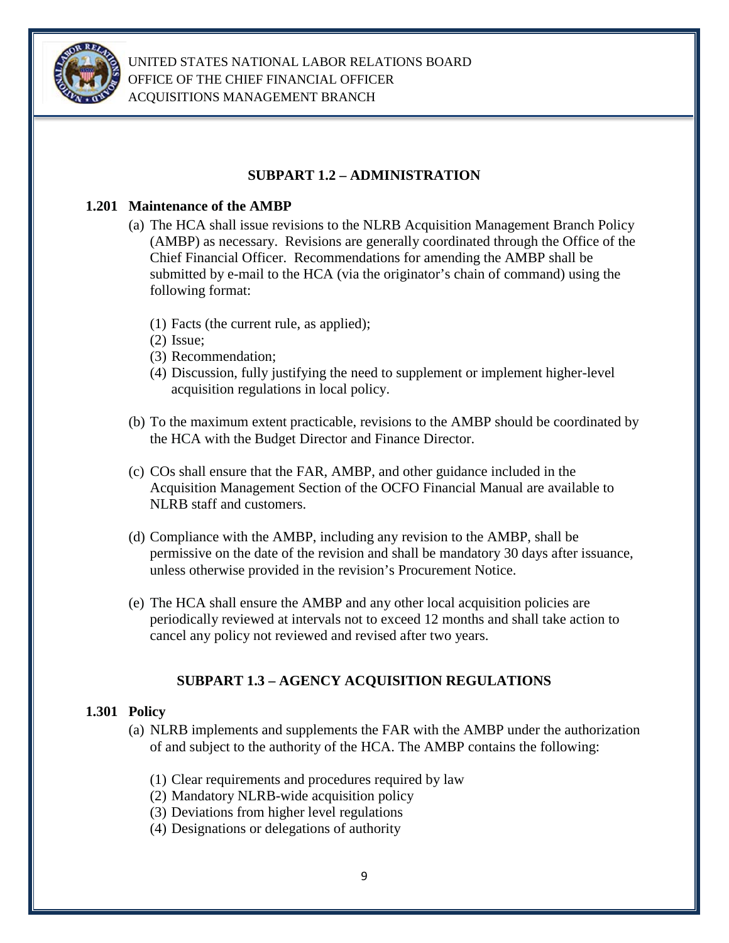

# **SUBPART 1.2 – ADMINISTRATION**

# **1.201 Maintenance of the AMBP**

- (a) The HCA shall issue revisions to the NLRB Acquisition Management Branch Policy (AMBP) as necessary. Revisions are generally coordinated through the Office of the Chief Financial Officer. Recommendations for amending the AMBP shall be submitted by e-mail to the HCA (via the originator's chain of command) using the following format:
	- (1) Facts (the current rule, as applied);
	- (2) Issue;
	- (3) Recommendation;
	- (4) Discussion, fully justifying the need to supplement or implement higher-level acquisition regulations in local policy.
- (b) To the maximum extent practicable, revisions to the AMBP should be coordinated by the HCA with the Budget Director and Finance Director.
- (c) COs shall ensure that the FAR, AMBP, and other guidance included in the Acquisition Management Section of the OCFO Financial Manual are available to NLRB staff and customers.
- (d) Compliance with the AMBP, including any revision to the AMBP, shall be permissive on the date of the revision and shall be mandatory 30 days after issuance, unless otherwise provided in the revision's Procurement Notice.
- (e) The HCA shall ensure the AMBP and any other local acquisition policies are periodically reviewed at intervals not to exceed 12 months and shall take action to cancel any policy not reviewed and revised after two years.

# **SUBPART 1.3 – AGENCY ACQUISITION REGULATIONS**

# **1.301 Policy**

- (a) NLRB implements and supplements the FAR with the AMBP under the authorization of and subject to the authority of the HCA. The AMBP contains the following:
	- (1) Clear requirements and procedures required by law
	- (2) Mandatory NLRB-wide acquisition policy
	- (3) Deviations from higher level regulations
	- (4) Designations or delegations of authority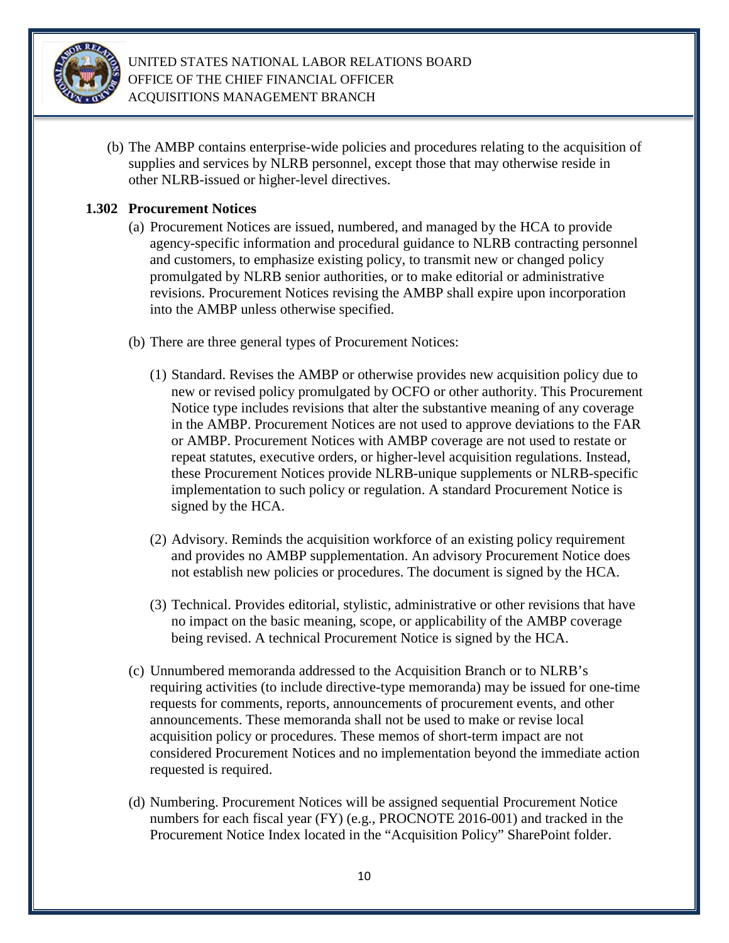

(b) The AMBP contains enterprise-wide policies and procedures relating to the acquisition of supplies and services by NLRB personnel, except those that may otherwise reside in other NLRB-issued or higher-level directives.

# **1.302 Procurement Notices**

- (a) Procurement Notices are issued, numbered, and managed by the HCA to provide agency-specific information and procedural guidance to NLRB contracting personnel and customers, to emphasize existing policy, to transmit new or changed policy promulgated by NLRB senior authorities, or to make editorial or administrative revisions. Procurement Notices revising the AMBP shall expire upon incorporation into the AMBP unless otherwise specified.
- (b) There are three general types of Procurement Notices:
	- (1) Standard. Revises the AMBP or otherwise provides new acquisition policy due to new or revised policy promulgated by OCFO or other authority. This Procurement Notice type includes revisions that alter the substantive meaning of any coverage in the AMBP. Procurement Notices are not used to approve deviations to the FAR or AMBP. Procurement Notices with AMBP coverage are not used to restate or repeat statutes, executive orders, or higher-level acquisition regulations. Instead, these Procurement Notices provide NLRB-unique supplements or NLRB-specific implementation to such policy or regulation. A standard Procurement Notice is signed by the HCA.
	- (2) Advisory. Reminds the acquisition workforce of an existing policy requirement and provides no AMBP supplementation. An advisory Procurement Notice does not establish new policies or procedures. The document is signed by the HCA.
	- (3) Technical. Provides editorial, stylistic, administrative or other revisions that have no impact on the basic meaning, scope, or applicability of the AMBP coverage being revised. A technical Procurement Notice is signed by the HCA.
- (c) Unnumbered memoranda addressed to the Acquisition Branch or to NLRB's requiring activities (to include directive-type memoranda) may be issued for one-time requests for comments, reports, announcements of procurement events, and other announcements. These memoranda shall not be used to make or revise local acquisition policy or procedures. These memos of short-term impact are not considered Procurement Notices and no implementation beyond the immediate action requested is required.
- (d) Numbering. Procurement Notices will be assigned sequential Procurement Notice numbers for each fiscal year (FY) (e.g., PROCNOTE 2016-001) and tracked in the Procurement Notice Index located in the "Acquisition Policy" SharePoint folder.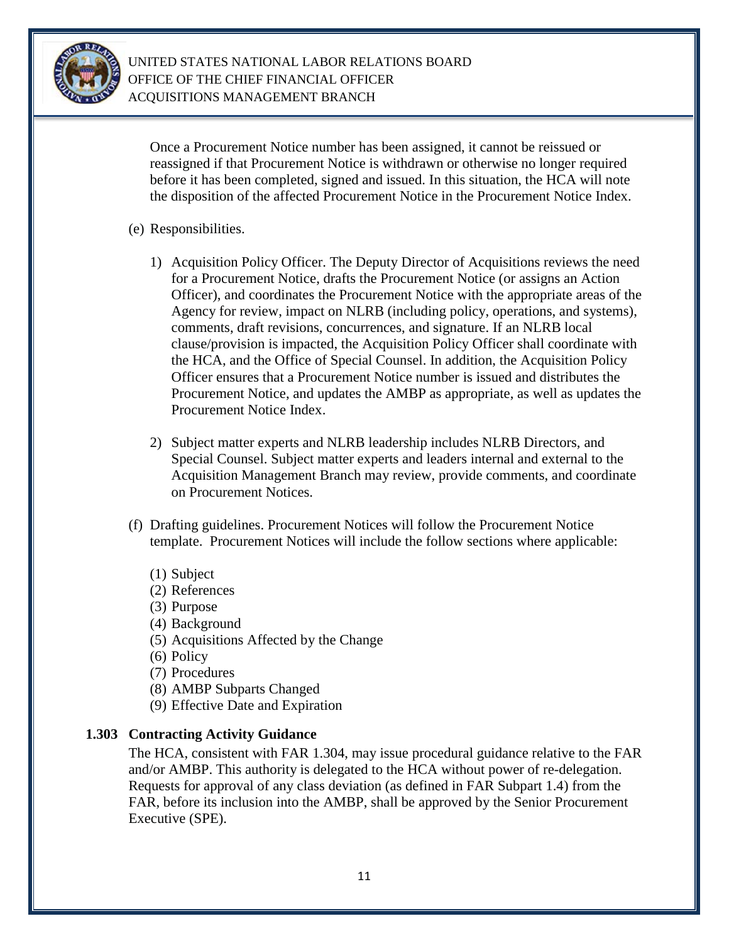

Once a Procurement Notice number has been assigned, it cannot be reissued or reassigned if that Procurement Notice is withdrawn or otherwise no longer required before it has been completed, signed and issued. In this situation, the HCA will note the disposition of the affected Procurement Notice in the Procurement Notice Index.

- (e) Responsibilities.
	- 1) Acquisition Policy Officer. The Deputy Director of Acquisitions reviews the need for a Procurement Notice, drafts the Procurement Notice (or assigns an Action Officer), and coordinates the Procurement Notice with the appropriate areas of the Agency for review, impact on NLRB (including policy, operations, and systems), comments, draft revisions, concurrences, and signature. If an NLRB local clause/provision is impacted, the Acquisition Policy Officer shall coordinate with the HCA, and the Office of Special Counsel. In addition, the Acquisition Policy Officer ensures that a Procurement Notice number is issued and distributes the Procurement Notice, and updates the AMBP as appropriate, as well as updates the Procurement Notice Index.
	- 2) Subject matter experts and NLRB leadership includes NLRB Directors, and Special Counsel. Subject matter experts and leaders internal and external to the Acquisition Management Branch may review, provide comments, and coordinate on Procurement Notices.
- (f) Drafting guidelines. Procurement Notices will follow the Procurement Notice template. Procurement Notices will include the follow sections where applicable:
	- (1) Subject
	- (2) References
	- (3) Purpose
	- (4) Background
	- (5) Acquisitions Affected by the Change
	- (6) Policy
	- (7) Procedures
	- (8) AMBP Subparts Changed
	- (9) Effective Date and Expiration

#### **1.303 Contracting Activity Guidance**

The HCA, consistent with FAR 1.304, may issue procedural guidance relative to the FAR and/or AMBP. This authority is delegated to the HCA without power of re-delegation. Requests for approval of any class deviation (as defined in FAR Subpart 1.4) from the FAR, before its inclusion into the AMBP, shall be approved by the Senior Procurement Executive (SPE).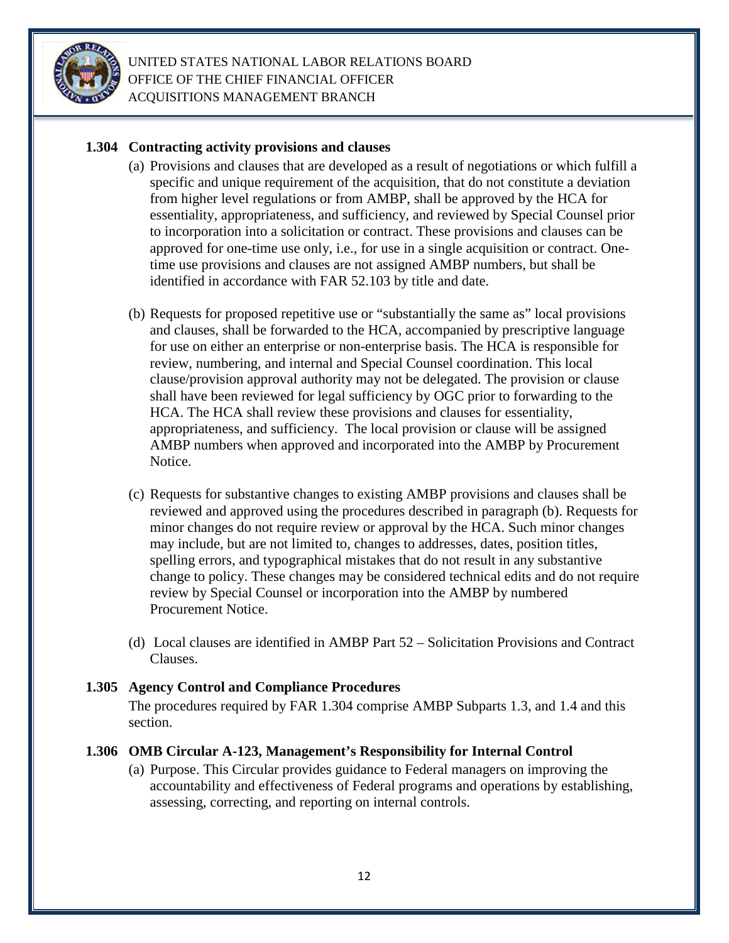

# **1.304 Contracting activity provisions and clauses**

- (a) Provisions and clauses that are developed as a result of negotiations or which fulfill a specific and unique requirement of the acquisition, that do not constitute a deviation from higher level regulations or from AMBP, shall be approved by the HCA for essentiality, appropriateness, and sufficiency, and reviewed by Special Counsel prior to incorporation into a solicitation or contract. These provisions and clauses can be approved for one-time use only, i.e., for use in a single acquisition or contract. Onetime use provisions and clauses are not assigned AMBP numbers, but shall be identified in accordance with FAR 52.103 by title and date.
- (b) Requests for proposed repetitive use or "substantially the same as" local provisions and clauses, shall be forwarded to the HCA, accompanied by prescriptive language for use on either an enterprise or non-enterprise basis. The HCA is responsible for review, numbering, and internal and Special Counsel coordination. This local clause/provision approval authority may not be delegated. The provision or clause shall have been reviewed for legal sufficiency by OGC prior to forwarding to the HCA. The HCA shall review these provisions and clauses for essentiality, appropriateness, and sufficiency. The local provision or clause will be assigned AMBP numbers when approved and incorporated into the AMBP by Procurement Notice.
- (c) Requests for substantive changes to existing AMBP provisions and clauses shall be reviewed and approved using the procedures described in paragraph (b). Requests for minor changes do not require review or approval by the HCA. Such minor changes may include, but are not limited to, changes to addresses, dates, position titles, spelling errors, and typographical mistakes that do not result in any substantive change to policy. These changes may be considered technical edits and do not require review by Special Counsel or incorporation into the AMBP by numbered Procurement Notice.
- (d) Local clauses are identified in AMBP Part 52 Solicitation Provisions and Contract Clauses.

#### **1.305 Agency Control and Compliance Procedures**

The procedures required by FAR 1.304 comprise AMBP Subparts 1.3, and 1.4 and this section.

#### **1.306 OMB Circular A-123, Management's Responsibility for Internal Control**

(a) Purpose. This Circular provides guidance to Federal managers on improving the accountability and effectiveness of Federal programs and operations by establishing, assessing, correcting, and reporting on internal controls.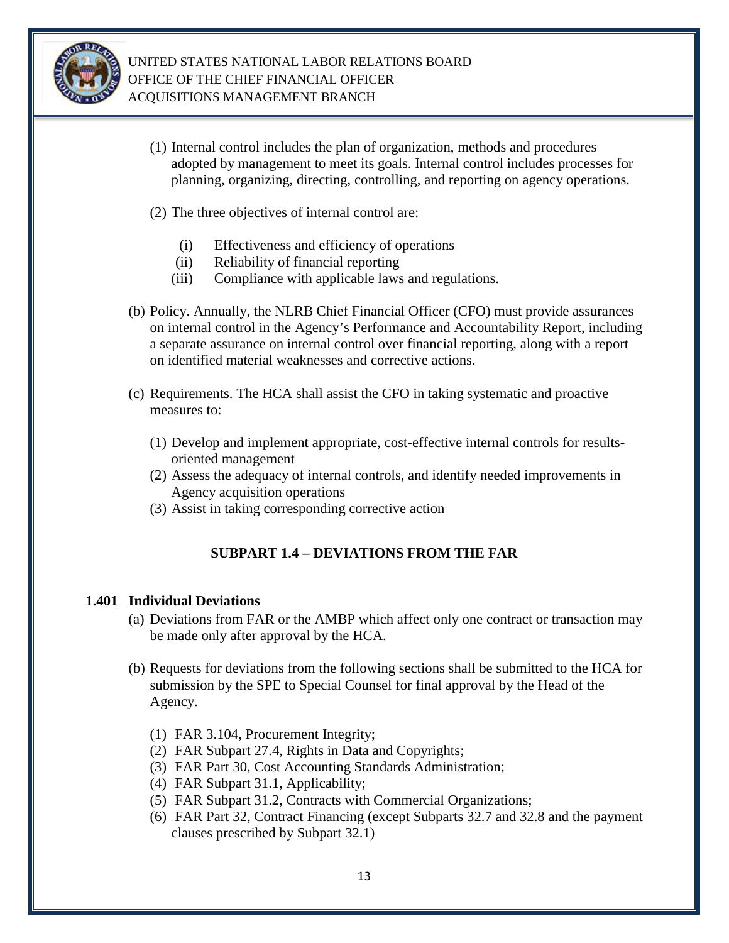

- (1) Internal control includes the plan of organization, methods and procedures adopted by management to meet its goals. Internal control includes processes for planning, organizing, directing, controlling, and reporting on agency operations.
- (2) The three objectives of internal control are:
	- (i) Effectiveness and efficiency of operations
	- (ii) Reliability of financial reporting
	- (iii) Compliance with applicable laws and regulations.
- (b) Policy. Annually, the NLRB Chief Financial Officer (CFO) must provide assurances on internal control in the Agency's Performance and Accountability Report, including a separate assurance on internal control over financial reporting, along with a report on identified material weaknesses and corrective actions.
- (c) Requirements. The HCA shall assist the CFO in taking systematic and proactive measures to:
	- (1) Develop and implement appropriate, cost-effective internal controls for resultsoriented management
	- (2) Assess the adequacy of internal controls, and identify needed improvements in Agency acquisition operations
	- (3) Assist in taking corresponding corrective action

# **SUBPART 1.4 – DEVIATIONS FROM THE FAR**

#### **1.401 Individual Deviations**

- (a) Deviations from FAR or the AMBP which affect only one contract or transaction may be made only after approval by the HCA.
- (b) Requests for deviations from the following sections shall be submitted to the HCA for submission by the SPE to Special Counsel for final approval by the Head of the Agency.
	- (1) FAR 3.104, Procurement Integrity;
	- (2) FAR Subpart 27.4, Rights in Data and Copyrights;
	- (3) FAR Part 30, Cost Accounting Standards Administration;
	- (4) FAR Subpart 31.1, Applicability;
	- (5) FAR Subpart 31.2, Contracts with Commercial Organizations;
	- (6) FAR Part 32, Contract Financing (except Subparts 32.7 and 32.8 and the payment clauses prescribed by Subpart 32.1)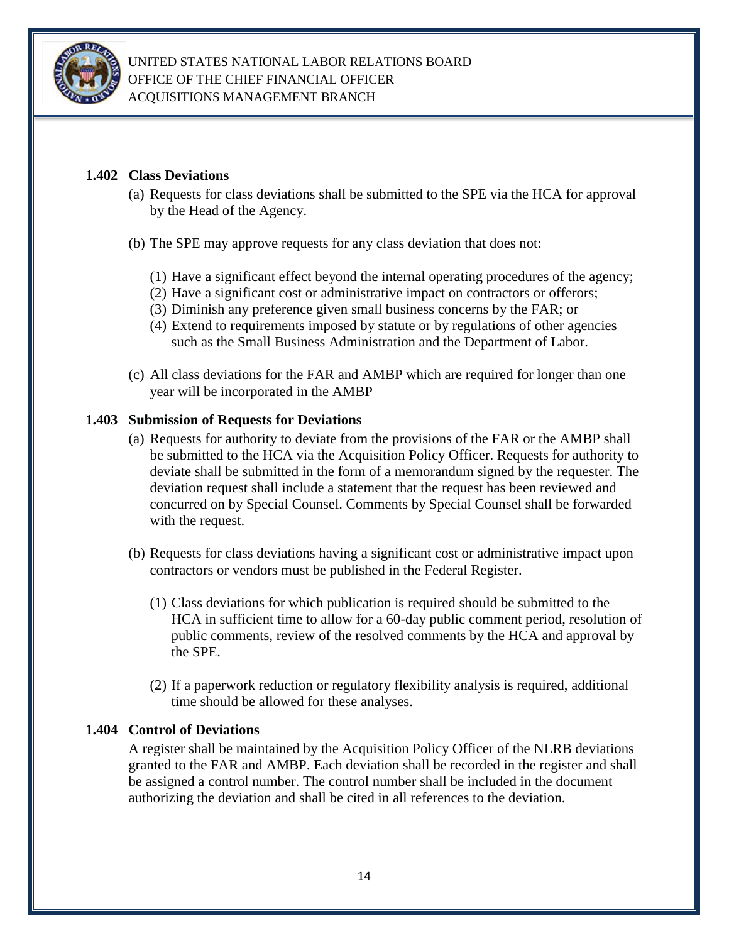

# **1.402 Class Deviations**

- (a) Requests for class deviations shall be submitted to the SPE via the HCA for approval by the Head of the Agency.
- (b) The SPE may approve requests for any class deviation that does not:
	- (1) Have a significant effect beyond the internal operating procedures of the agency;
	- (2) Have a significant cost or administrative impact on contractors or offerors;
	- (3) Diminish any preference given small business concerns by the FAR; or
	- (4) Extend to requirements imposed by statute or by regulations of other agencies such as the Small Business Administration and the Department of Labor.
- (c) All class deviations for the FAR and AMBP which are required for longer than one year will be incorporated in the AMBP

#### **1.403 Submission of Requests for Deviations**

- (a) Requests for authority to deviate from the provisions of the FAR or the AMBP shall be submitted to the HCA via the Acquisition Policy Officer. Requests for authority to deviate shall be submitted in the form of a memorandum signed by the requester. The deviation request shall include a statement that the request has been reviewed and concurred on by Special Counsel. Comments by Special Counsel shall be forwarded with the request.
- (b) Requests for class deviations having a significant cost or administrative impact upon contractors or vendors must be published in the Federal Register.
	- (1) Class deviations for which publication is required should be submitted to the HCA in sufficient time to allow for a 60-day public comment period, resolution of public comments, review of the resolved comments by the HCA and approval by the SPE.
	- (2) If a paperwork reduction or regulatory flexibility analysis is required, additional time should be allowed for these analyses.

#### **1.404 Control of Deviations**

A register shall be maintained by the Acquisition Policy Officer of the NLRB deviations granted to the FAR and AMBP. Each deviation shall be recorded in the register and shall be assigned a control number. The control number shall be included in the document authorizing the deviation and shall be cited in all references to the deviation.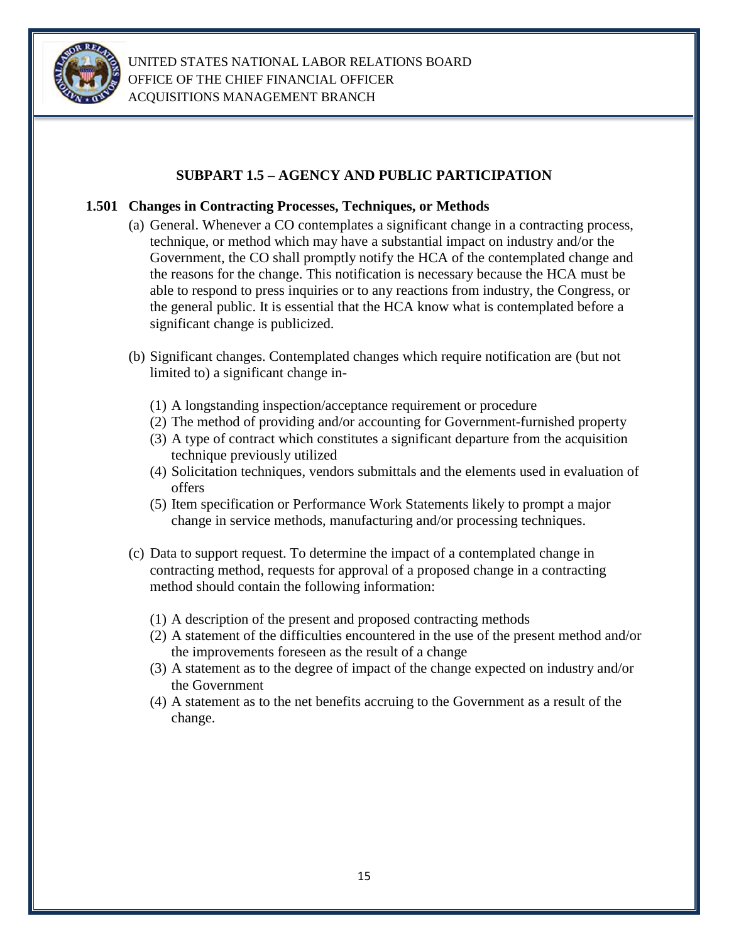

# **SUBPART 1.5 – AGENCY AND PUBLIC PARTICIPATION**

#### **1.501 Changes in Contracting Processes, Techniques, or Methods**

- (a) General. Whenever a CO contemplates a significant change in a contracting process, technique, or method which may have a substantial impact on industry and/or the Government, the CO shall promptly notify the HCA of the contemplated change and the reasons for the change. This notification is necessary because the HCA must be able to respond to press inquiries or to any reactions from industry, the Congress, or the general public. It is essential that the HCA know what is contemplated before a significant change is publicized.
- (b) Significant changes. Contemplated changes which require notification are (but not limited to) a significant change in-
	- (1) A longstanding inspection/acceptance requirement or procedure
	- (2) The method of providing and/or accounting for Government-furnished property
	- (3) A type of contract which constitutes a significant departure from the acquisition technique previously utilized
	- (4) Solicitation techniques, vendors submittals and the elements used in evaluation of offers
	- (5) Item specification or Performance Work Statements likely to prompt a major change in service methods, manufacturing and/or processing techniques.
- (c) Data to support request. To determine the impact of a contemplated change in contracting method, requests for approval of a proposed change in a contracting method should contain the following information:
	- (1) A description of the present and proposed contracting methods
	- (2) A statement of the difficulties encountered in the use of the present method and/or the improvements foreseen as the result of a change
	- (3) A statement as to the degree of impact of the change expected on industry and/or the Government
	- (4) A statement as to the net benefits accruing to the Government as a result of the change.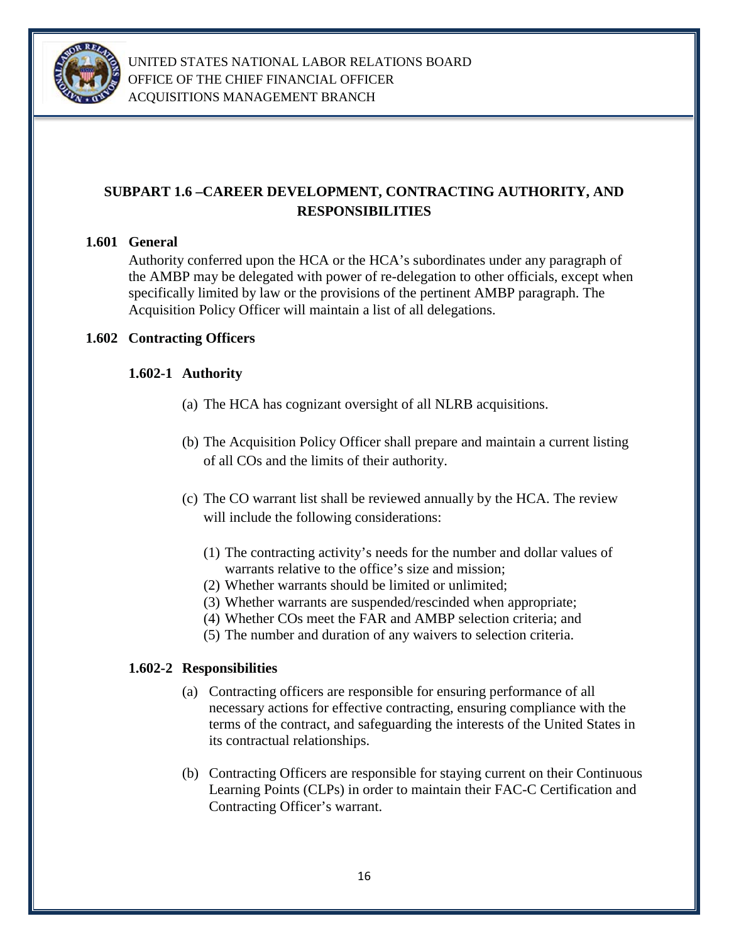

# **SUBPART 1.6 –CAREER DEVELOPMENT, CONTRACTING AUTHORITY, AND RESPONSIBILITIES**

# **1.601 General**

Authority conferred upon the HCA or the HCA's subordinates under any paragraph of the AMBP may be delegated with power of re-delegation to other officials, except when specifically limited by law or the provisions of the pertinent AMBP paragraph. The Acquisition Policy Officer will maintain a list of all delegations.

# **1.602 Contracting Officers**

# **1.602-1 Authority**

- (a) The HCA has cognizant oversight of all NLRB acquisitions.
- (b) The Acquisition Policy Officer shall prepare and maintain a current listing of all COs and the limits of their authority.
- (c) The CO warrant list shall be reviewed annually by the HCA. The review will include the following considerations:
	- (1) The contracting activity's needs for the number and dollar values of warrants relative to the office's size and mission;
	- (2) Whether warrants should be limited or unlimited;
	- (3) Whether warrants are suspended/rescinded when appropriate;
	- (4) Whether COs meet the FAR and AMBP selection criteria; and
	- (5) The number and duration of any waivers to selection criteria.

#### **1.602-2 Responsibilities**

- (a) Contracting officers are responsible for ensuring performance of all necessary actions for effective contracting, ensuring compliance with the terms of the contract, and safeguarding the interests of the United States in its contractual relationships.
- (b) Contracting Officers are responsible for staying current on their Continuous Learning Points (CLPs) in order to maintain their FAC-C Certification and Contracting Officer's warrant.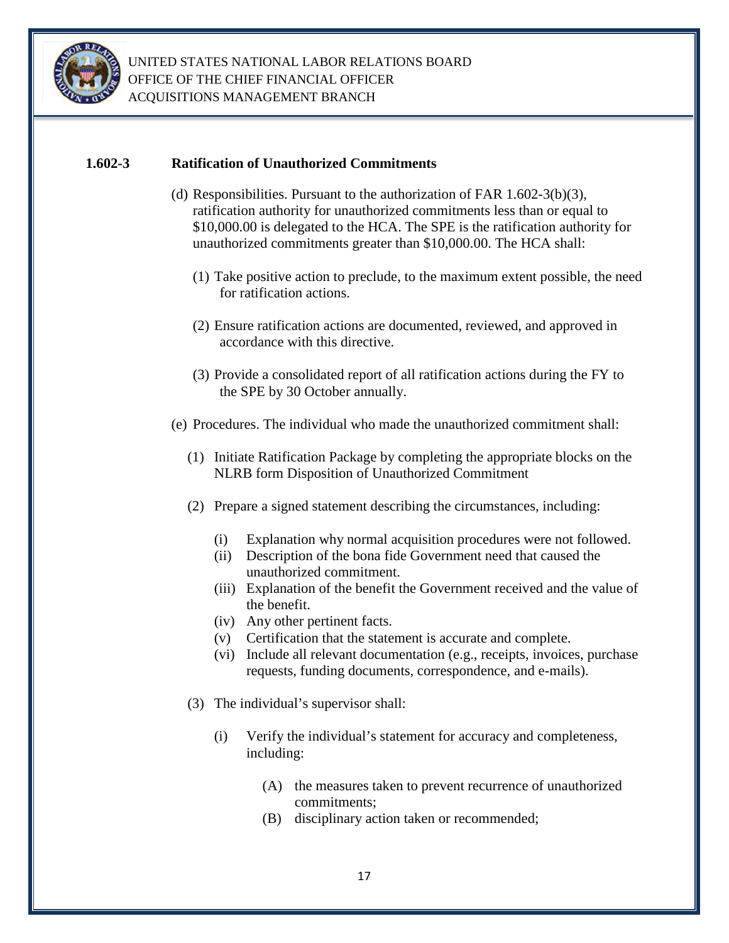

# **1.602-3 Ratification of Unauthorized Commitments**

- (d) Responsibilities. Pursuant to the authorization of FAR  $1.602-3(b)(3)$ , ratification authority for unauthorized commitments less than or equal to \$10,000.00 is delegated to the HCA. The SPE is the ratification authority for unauthorized commitments greater than \$10,000.00. The HCA shall:
	- (1) Take positive action to preclude, to the maximum extent possible, the need for ratification actions.
	- (2) Ensure ratification actions are documented, reviewed, and approved in accordance with this directive.
	- (3) Provide a consolidated report of all ratification actions during the FY to the SPE by 30 October annually.
- (e) Procedures. The individual who made the unauthorized commitment shall:
	- (1) Initiate Ratification Package by completing the appropriate blocks on the NLRB form Disposition of Unauthorized Commitment
	- (2) Prepare a signed statement describing the circumstances, including:
		- (i) Explanation why normal acquisition procedures were not followed.
		- (ii) Description of the bona fide Government need that caused the unauthorized commitment.
		- (iii) Explanation of the benefit the Government received and the value of the benefit.
		- (iv) Any other pertinent facts.
		- (v) Certification that the statement is accurate and complete.
		- (vi) Include all relevant documentation (e.g., receipts, invoices, purchase requests, funding documents, correspondence, and e-mails).
	- (3) The individual's supervisor shall:
		- (i) Verify the individual's statement for accuracy and completeness, including:
			- (A) the measures taken to prevent recurrence of unauthorized commitments;
			- (B) disciplinary action taken or recommended;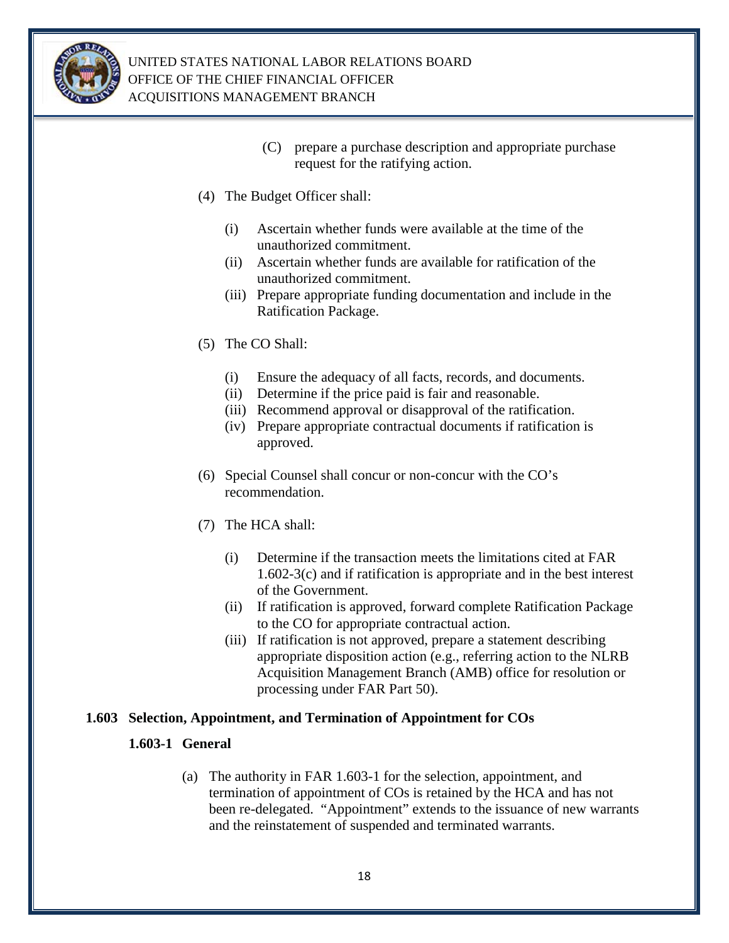

- (C) prepare a purchase description and appropriate purchase request for the ratifying action.
- (4) The Budget Officer shall:
	- (i) Ascertain whether funds were available at the time of the unauthorized commitment.
	- (ii) Ascertain whether funds are available for ratification of the unauthorized commitment.
	- (iii) Prepare appropriate funding documentation and include in the Ratification Package.
- (5) The CO Shall:
	- (i) Ensure the adequacy of all facts, records, and documents.
	- (ii) Determine if the price paid is fair and reasonable.
	- (iii) Recommend approval or disapproval of the ratification.
	- (iv) Prepare appropriate contractual documents if ratification is approved.
- (6) Special Counsel shall concur or non-concur with the CO's recommendation.
- (7) The HCA shall:
	- (i) Determine if the transaction meets the limitations cited at FAR 1.602-3(c) and if ratification is appropriate and in the best interest of the Government.
	- (ii) If ratification is approved, forward complete Ratification Package to the CO for appropriate contractual action.
	- (iii) If ratification is not approved, prepare a statement describing appropriate disposition action (e.g., referring action to the NLRB Acquisition Management Branch (AMB) office for resolution or processing under FAR Part 50).

#### **1.603 Selection, Appointment, and Termination of Appointment for COs**

#### **1.603-1 General**

(a) The authority in FAR 1.603-1 for the selection, appointment, and termination of appointment of COs is retained by the HCA and has not been re-delegated. "Appointment" extends to the issuance of new warrants and the reinstatement of suspended and terminated warrants.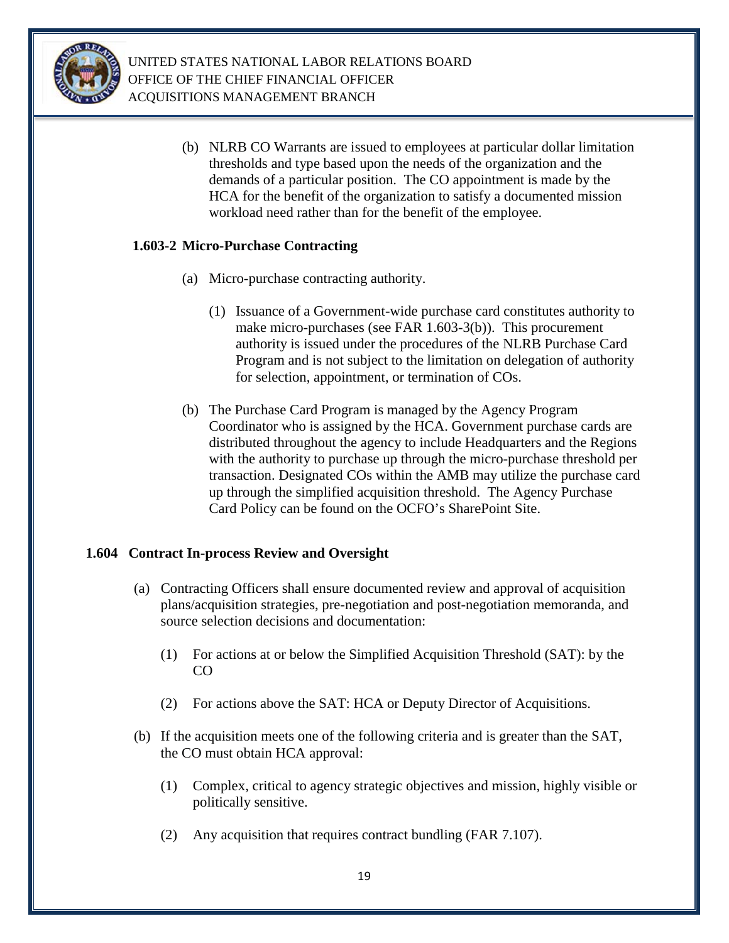

> (b) NLRB CO Warrants are issued to employees at particular dollar limitation thresholds and type based upon the needs of the organization and the demands of a particular position. The CO appointment is made by the HCA for the benefit of the organization to satisfy a documented mission workload need rather than for the benefit of the employee.

# **1.603-2 Micro-Purchase Contracting**

- (a) Micro-purchase contracting authority.
	- (1) Issuance of a Government-wide purchase card constitutes authority to make micro-purchases (see FAR 1.603-3(b)). This procurement authority is issued under the procedures of the NLRB Purchase Card Program and is not subject to the limitation on delegation of authority for selection, appointment, or termination of COs.
- (b) The Purchase Card Program is managed by the Agency Program Coordinator who is assigned by the HCA. Government purchase cards are distributed throughout the agency to include Headquarters and the Regions with the authority to purchase up through the micro-purchase threshold per transaction. Designated COs within the AMB may utilize the purchase card up through the simplified acquisition threshold. The Agency Purchase Card Policy can be found on the OCFO's SharePoint Site.

# **1.604 Contract In-process Review and Oversight**

- (a) Contracting Officers shall ensure documented review and approval of acquisition plans/acquisition strategies, pre-negotiation and post-negotiation memoranda, and source selection decisions and documentation:
	- (1) For actions at or below the Simplified Acquisition Threshold (SAT): by the  $CO$
	- (2) For actions above the SAT: HCA or Deputy Director of Acquisitions.
- (b) If the acquisition meets one of the following criteria and is greater than the SAT, the CO must obtain HCA approval:
	- (1) Complex, critical to agency strategic objectives and mission, highly visible or politically sensitive.
	- (2) Any acquisition that requires contract bundling (FAR 7.107).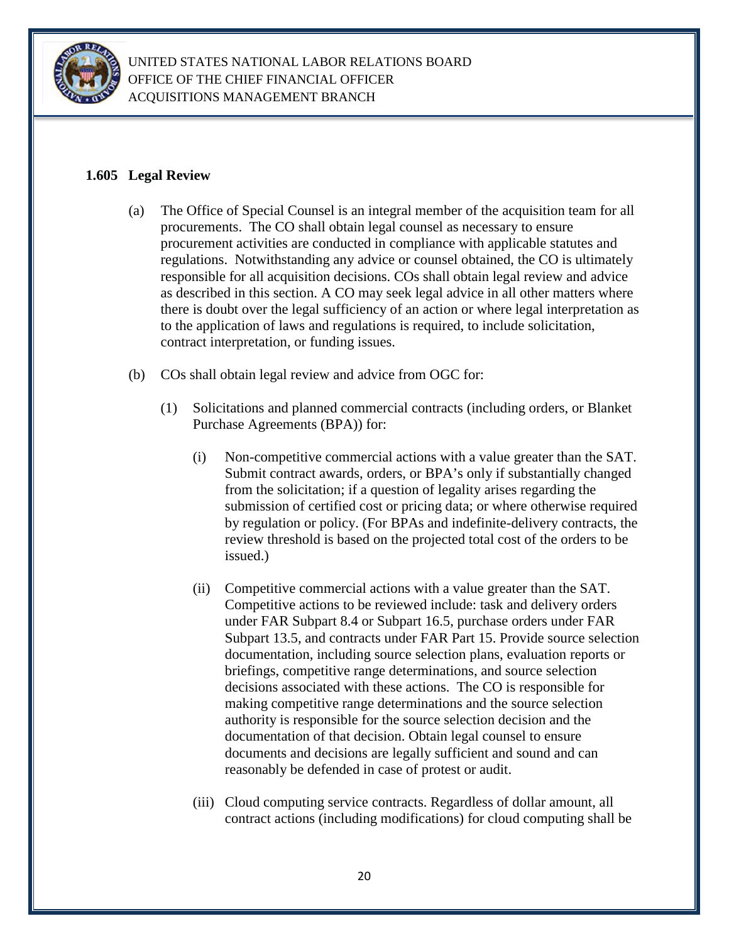

#### **1.605 Legal Review**

- (a) The Office of Special Counsel is an integral member of the acquisition team for all procurements. The CO shall obtain legal counsel as necessary to ensure procurement activities are conducted in compliance with applicable statutes and regulations. Notwithstanding any advice or counsel obtained, the CO is ultimately responsible for all acquisition decisions. COs shall obtain legal review and advice as described in this section. A CO may seek legal advice in all other matters where there is doubt over the legal sufficiency of an action or where legal interpretation as to the application of laws and regulations is required, to include solicitation, contract interpretation, or funding issues.
- (b) COs shall obtain legal review and advice from OGC for:
	- (1) Solicitations and planned commercial contracts (including orders, or Blanket Purchase Agreements (BPA)) for:
		- (i) Non-competitive commercial actions with a value greater than the SAT. Submit contract awards, orders, or BPA's only if substantially changed from the solicitation; if a question of legality arises regarding the submission of certified cost or pricing data; or where otherwise required by regulation or policy. (For BPAs and indefinite-delivery contracts, the review threshold is based on the projected total cost of the orders to be issued.)
		- (ii) Competitive commercial actions with a value greater than the SAT. Competitive actions to be reviewed include: task and delivery orders under FAR Subpart 8.4 or Subpart 16.5, purchase orders under FAR Subpart 13.5, and contracts under FAR Part 15. Provide source selection documentation, including source selection plans, evaluation reports or briefings, competitive range determinations, and source selection decisions associated with these actions. The CO is responsible for making competitive range determinations and the source selection authority is responsible for the source selection decision and the documentation of that decision. Obtain legal counsel to ensure documents and decisions are legally sufficient and sound and can reasonably be defended in case of protest or audit.
		- (iii) Cloud computing service contracts. Regardless of dollar amount, all contract actions (including modifications) for cloud computing shall be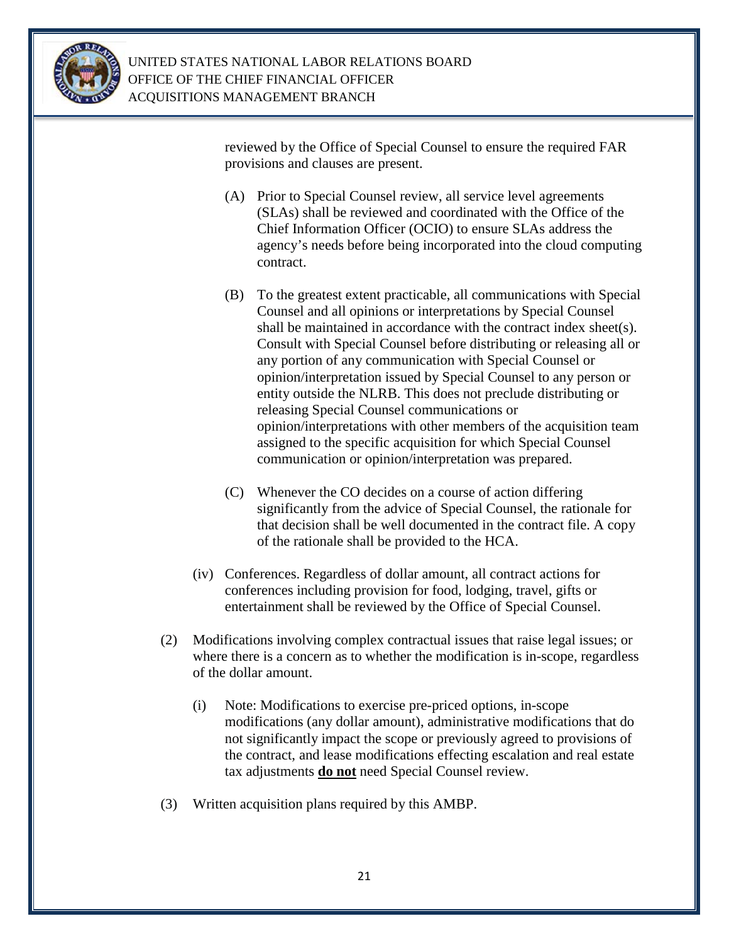

> reviewed by the Office of Special Counsel to ensure the required FAR provisions and clauses are present.

- (A) Prior to Special Counsel review, all service level agreements (SLAs) shall be reviewed and coordinated with the Office of the Chief Information Officer (OCIO) to ensure SLAs address the agency's needs before being incorporated into the cloud computing contract.
- (B) To the greatest extent practicable, all communications with Special Counsel and all opinions or interpretations by Special Counsel shall be maintained in accordance with the contract index sheet(s). Consult with Special Counsel before distributing or releasing all or any portion of any communication with Special Counsel or opinion/interpretation issued by Special Counsel to any person or entity outside the NLRB. This does not preclude distributing or releasing Special Counsel communications or opinion/interpretations with other members of the acquisition team assigned to the specific acquisition for which Special Counsel communication or opinion/interpretation was prepared.
- (C) Whenever the CO decides on a course of action differing significantly from the advice of Special Counsel, the rationale for that decision shall be well documented in the contract file. A copy of the rationale shall be provided to the HCA.
- (iv) Conferences. Regardless of dollar amount, all contract actions for conferences including provision for food, lodging, travel, gifts or entertainment shall be reviewed by the Office of Special Counsel.
- (2) Modifications involving complex contractual issues that raise legal issues; or where there is a concern as to whether the modification is in-scope, regardless of the dollar amount.
	- (i) Note: Modifications to exercise pre-priced options, in-scope modifications (any dollar amount), administrative modifications that do not significantly impact the scope or previously agreed to provisions of the contract, and lease modifications effecting escalation and real estate tax adjustments **do not** need Special Counsel review.
- (3) Written acquisition plans required by this AMBP.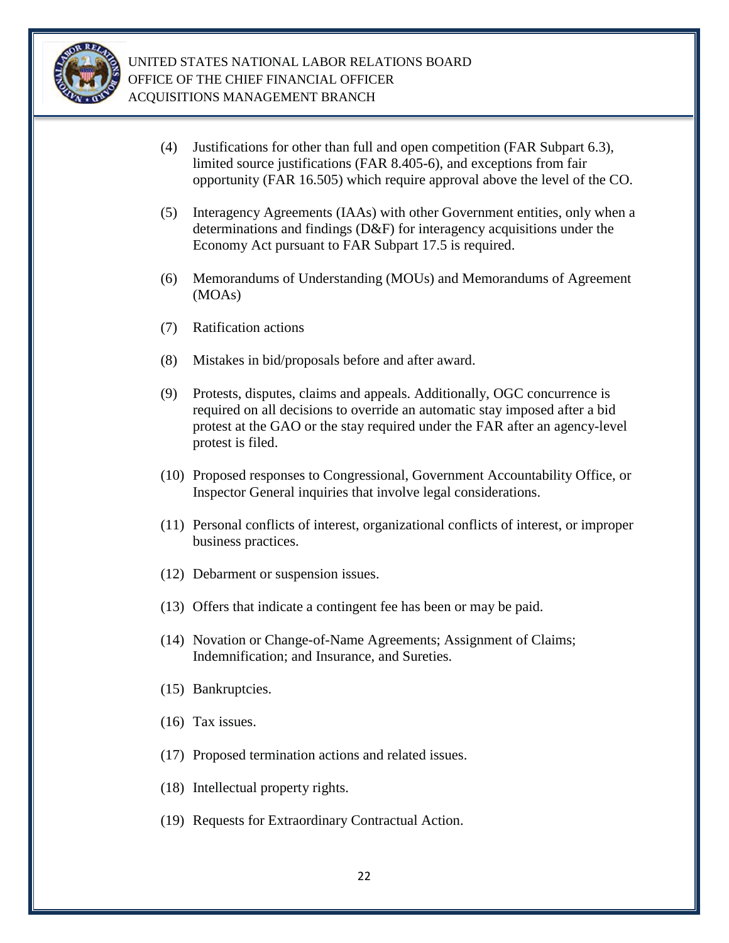

- (4) Justifications for other than full and open competition (FAR Subpart 6.3), limited source justifications (FAR 8.405-6), and exceptions from fair opportunity (FAR 16.505) which require approval above the level of the CO.
- (5) Interagency Agreements (IAAs) with other Government entities, only when a determinations and findings (D&F) for interagency acquisitions under the Economy Act pursuant to FAR Subpart 17.5 is required.
- (6) Memorandums of Understanding (MOUs) and Memorandums of Agreement (MOAs)
- (7) Ratification actions
- (8) Mistakes in bid/proposals before and after award.
- (9) Protests, disputes, claims and appeals. Additionally, OGC concurrence is required on all decisions to override an automatic stay imposed after a bid protest at the GAO or the stay required under the FAR after an agency-level protest is filed.
- (10) Proposed responses to Congressional, Government Accountability Office, or Inspector General inquiries that involve legal considerations.
- (11) Personal conflicts of interest, organizational conflicts of interest, or improper business practices.
- (12) Debarment or suspension issues.
- (13) Offers that indicate a contingent fee has been or may be paid.
- (14) Novation or Change-of-Name Agreements; Assignment of Claims; Indemnification; and Insurance, and Sureties.
- (15) Bankruptcies.
- (16) Tax issues.
- (17) Proposed termination actions and related issues.
- (18) Intellectual property rights.
- (19) Requests for Extraordinary Contractual Action.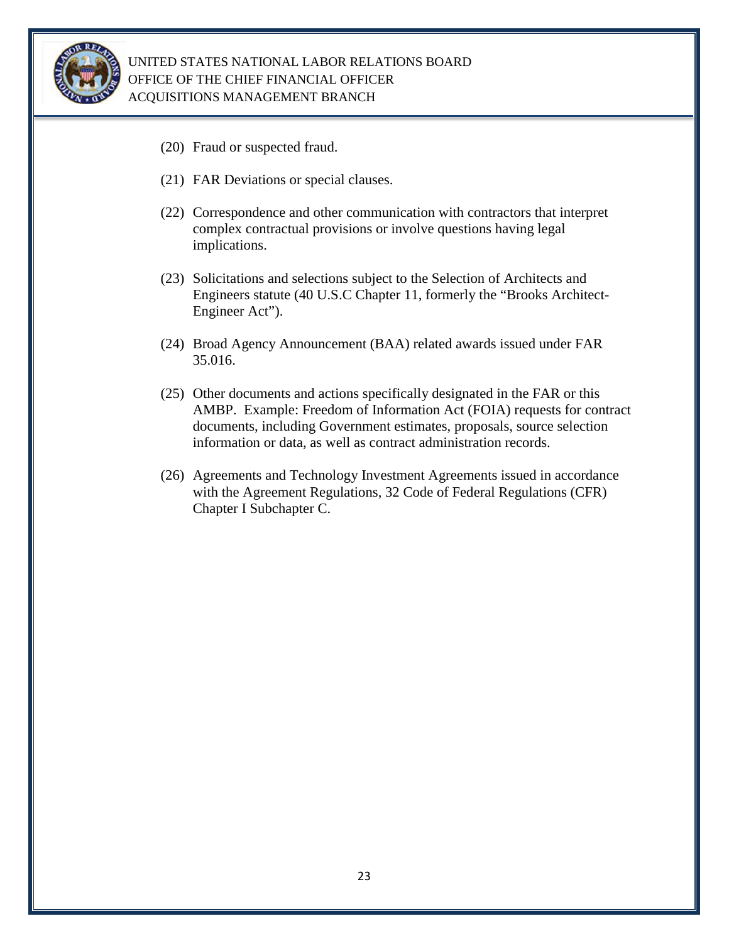

- (20) Fraud or suspected fraud.
- (21) FAR Deviations or special clauses.
- (22) Correspondence and other communication with contractors that interpret complex contractual provisions or involve questions having legal implications.
- (23) Solicitations and selections subject to the Selection of Architects and Engineers statute (40 U.S.C Chapter 11, formerly the "Brooks Architect-Engineer Act").
- (24) Broad Agency Announcement (BAA) related awards issued under FAR 35.016.
- (25) Other documents and actions specifically designated in the FAR or this AMBP. Example: Freedom of Information Act (FOIA) requests for contract documents, including Government estimates, proposals, source selection information or data, as well as contract administration records.
- (26) Agreements and Technology Investment Agreements issued in accordance with the Agreement Regulations, 32 Code of Federal Regulations (CFR) Chapter I Subchapter C.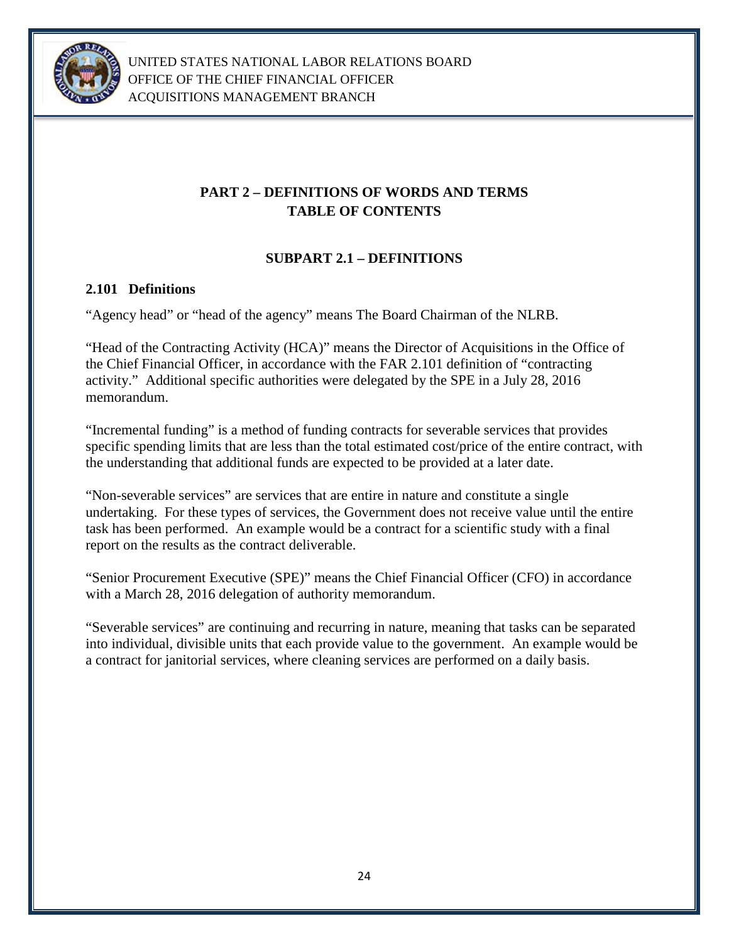

# **PART 2 – DEFINITIONS OF WORDS AND TERMS TABLE OF CONTENTS**

# **SUBPART 2.1 – DEFINITIONS**

# **2.101 Definitions**

"Agency head" or "head of the agency" means The Board Chairman of the NLRB.

"Head of the Contracting Activity (HCA)" means the Director of Acquisitions in the Office of the Chief Financial Officer, in accordance with the FAR 2.101 definition of "contracting activity." Additional specific authorities were delegated by the SPE in a July 28, 2016 memorandum.

"Incremental funding" is a method of funding contracts for severable services that provides specific spending limits that are less than the total estimated cost/price of the entire contract, with the understanding that additional funds are expected to be provided at a later date.

"Non-severable services" are services that are entire in nature and constitute a single undertaking. For these types of services, the Government does not receive value until the entire task has been performed. An example would be a contract for a scientific study with a final report on the results as the contract deliverable.

"Senior Procurement Executive (SPE)" means the Chief Financial Officer (CFO) in accordance with a March 28, 2016 delegation of authority memorandum.

"Severable services" are continuing and recurring in nature, meaning that tasks can be separated into individual, divisible units that each provide value to the government. An example would be a contract for janitorial services, where cleaning services are performed on a daily basis.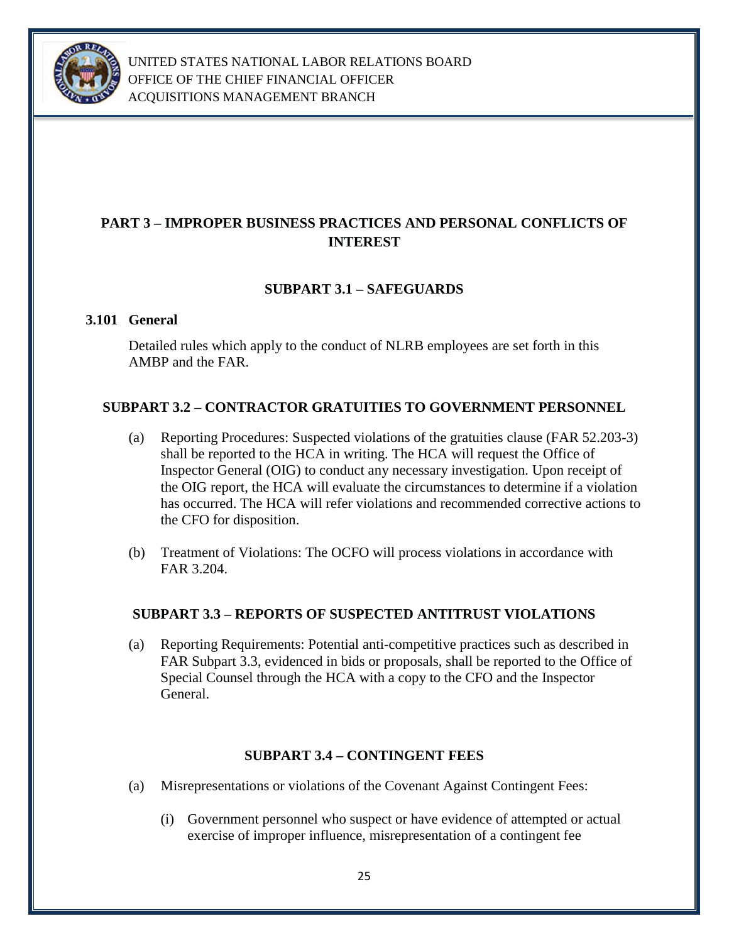

# **PART 3 – IMPROPER BUSINESS PRACTICES AND PERSONAL CONFLICTS OF INTEREST**

# **SUBPART 3.1 – SAFEGUARDS**

# **3.101 General**

Detailed rules which apply to the conduct of NLRB employees are set forth in this AMBP and the FAR.

# **SUBPART 3.2 – CONTRACTOR GRATUITIES TO GOVERNMENT PERSONNEL**

- (a) Reporting Procedures: Suspected violations of the gratuities clause (FAR 52.203-3) shall be reported to the HCA in writing. The HCA will request the Office of Inspector General (OIG) to conduct any necessary investigation. Upon receipt of the OIG report, the HCA will evaluate the circumstances to determine if a violation has occurred. The HCA will refer violations and recommended corrective actions to the CFO for disposition.
- (b) Treatment of Violations: The OCFO will process violations in accordance with FAR 3.204.

#### **SUBPART 3.3 – REPORTS OF SUSPECTED ANTITRUST VIOLATIONS**

(a) Reporting Requirements: Potential anti-competitive practices such as described in FAR Subpart 3.3, evidenced in bids or proposals, shall be reported to the Office of Special Counsel through the HCA with a copy to the CFO and the Inspector General.

#### **SUBPART 3.4 – CONTINGENT FEES**

- (a) Misrepresentations or violations of the Covenant Against Contingent Fees:
	- (i) Government personnel who suspect or have evidence of attempted or actual exercise of improper influence, misrepresentation of a contingent fee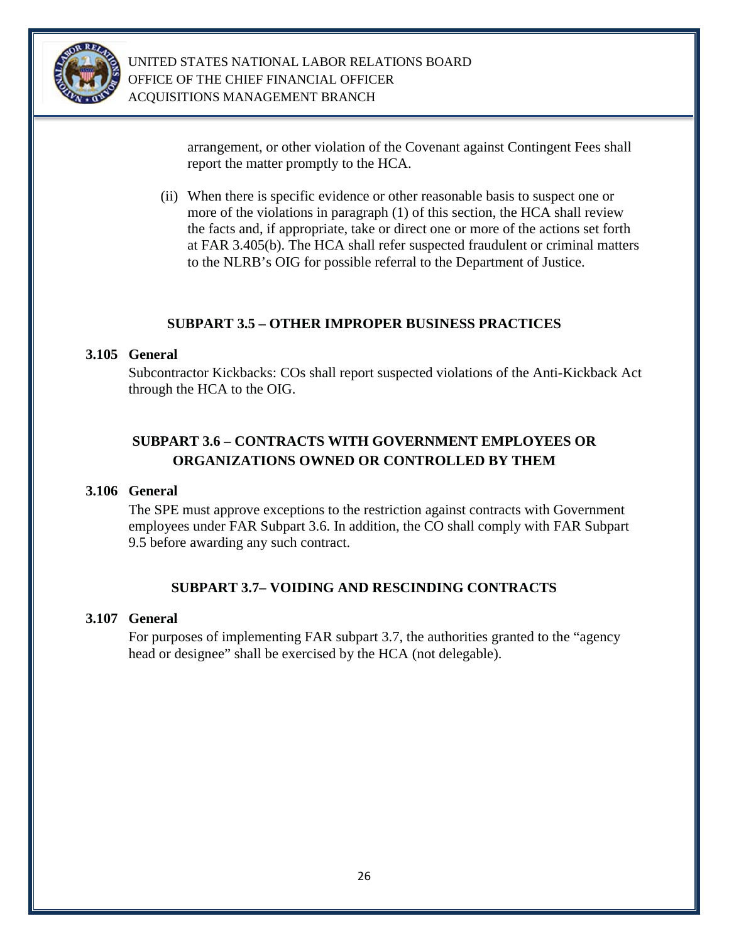

> arrangement, or other violation of the Covenant against Contingent Fees shall report the matter promptly to the HCA.

(ii) When there is specific evidence or other reasonable basis to suspect one or more of the violations in paragraph (1) of this section, the HCA shall review the facts and, if appropriate, take or direct one or more of the actions set forth at FAR 3.405(b). The HCA shall refer suspected fraudulent or criminal matters to the NLRB's OIG for possible referral to the Department of Justice.

# **SUBPART 3.5 – OTHER IMPROPER BUSINESS PRACTICES**

#### **3.105 General**

Subcontractor Kickbacks: COs shall report suspected violations of the Anti-Kickback Act through the HCA to the OIG.

# **SUBPART 3.6 – CONTRACTS WITH GOVERNMENT EMPLOYEES OR ORGANIZATIONS OWNED OR CONTROLLED BY THEM**

# **3.106 General**

The SPE must approve exceptions to the restriction against contracts with Government employees under FAR Subpart 3.6. In addition, the CO shall comply with FAR Subpart 9.5 before awarding any such contract.

#### **SUBPART 3.7– VOIDING AND RESCINDING CONTRACTS**

# **3.107 General**

For purposes of implementing FAR subpart 3.7, the authorities granted to the "agency head or designee" shall be exercised by the HCA (not delegable).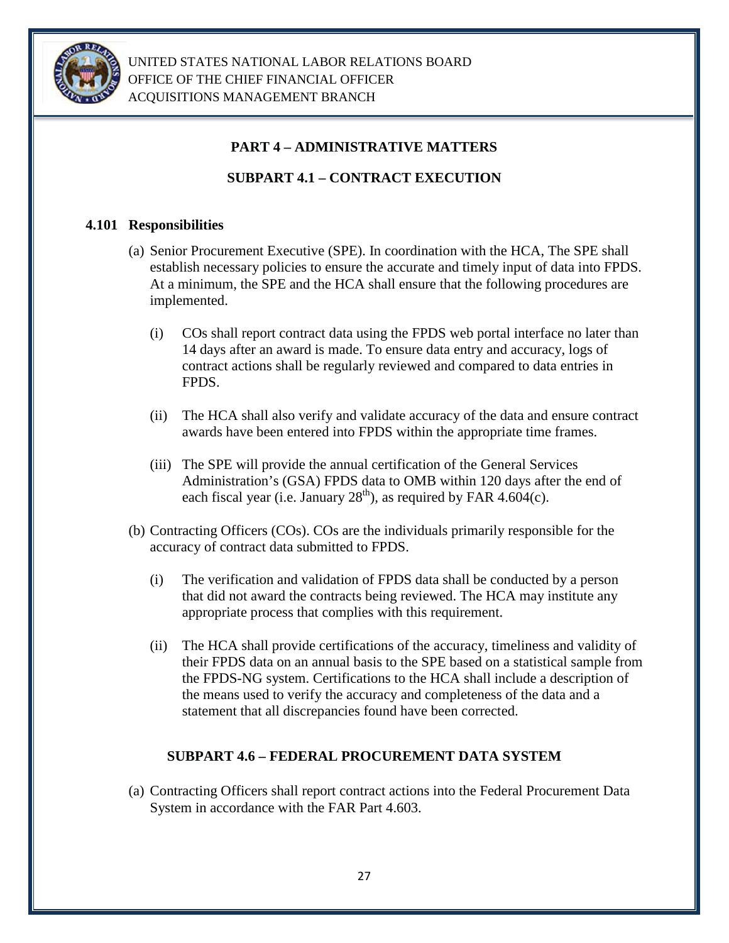

# **PART 4 – ADMINISTRATIVE MATTERS**

# **SUBPART 4.1 – CONTRACT EXECUTION**

# **4.101 Responsibilities**

- (a) Senior Procurement Executive (SPE). In coordination with the HCA, The SPE shall establish necessary policies to ensure the accurate and timely input of data into FPDS. At a minimum, the SPE and the HCA shall ensure that the following procedures are implemented.
	- (i) COs shall report contract data using the FPDS web portal interface no later than 14 days after an award is made. To ensure data entry and accuracy, logs of contract actions shall be regularly reviewed and compared to data entries in FPDS.
	- (ii) The HCA shall also verify and validate accuracy of the data and ensure contract awards have been entered into FPDS within the appropriate time frames.
	- (iii) The SPE will provide the annual certification of the General Services Administration's (GSA) FPDS data to OMB within 120 days after the end of each fiscal year (i.e. January  $28<sup>th</sup>$ ), as required by FAR 4.604(c).
- (b) Contracting Officers (COs). COs are the individuals primarily responsible for the accuracy of contract data submitted to FPDS.
	- (i) The verification and validation of FPDS data shall be conducted by a person that did not award the contracts being reviewed. The HCA may institute any appropriate process that complies with this requirement.
	- (ii) The HCA shall provide certifications of the accuracy, timeliness and validity of their FPDS data on an annual basis to the SPE based on a statistical sample from the FPDS-NG system. Certifications to the HCA shall include a description of the means used to verify the accuracy and completeness of the data and a statement that all discrepancies found have been corrected.

# **SUBPART 4.6 – FEDERAL PROCUREMENT DATA SYSTEM**

(a) Contracting Officers shall report contract actions into the Federal Procurement Data System in accordance with the FAR Part 4.603.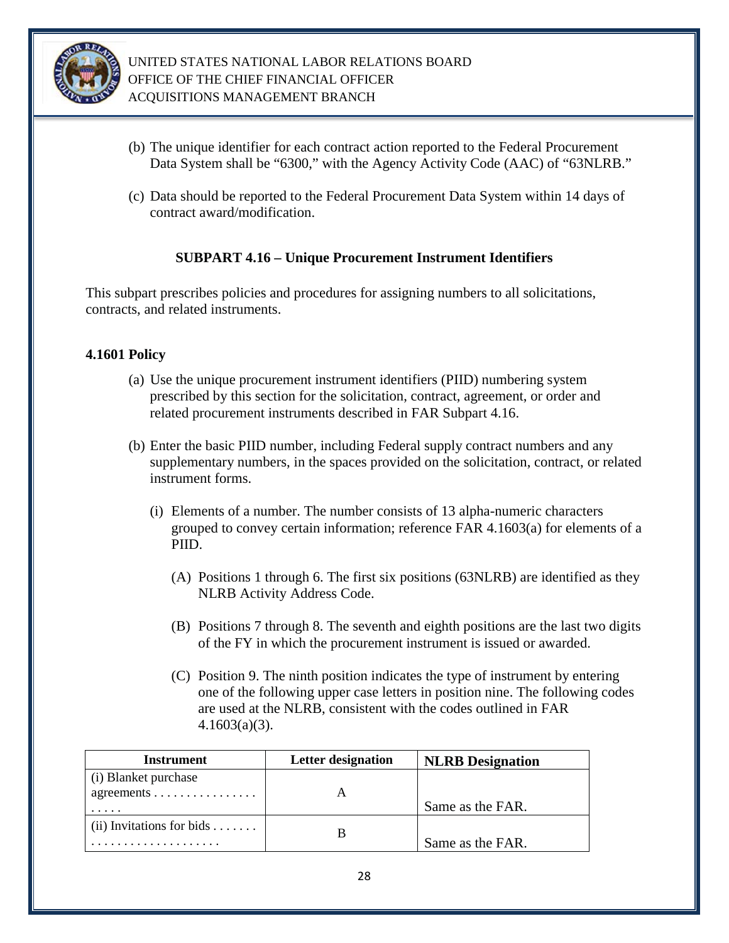

- (b) The unique identifier for each contract action reported to the Federal Procurement Data System shall be "6300," with the Agency Activity Code (AAC) of "63NLRB."
- (c) Data should be reported to the Federal Procurement Data System within 14 days of contract award/modification.

# **SUBPART 4.16 – Unique Procurement Instrument Identifiers**

This subpart prescribes policies and procedures for assigning numbers to all solicitations, contracts, and related instruments.

# **4.1601 Policy**

- (a) Use the unique procurement instrument identifiers (PIID) numbering system prescribed by this section for the solicitation, contract, agreement, or order and related procurement instruments described in FAR Subpart 4.16.
- (b) Enter the basic PIID number, including Federal supply contract numbers and any supplementary numbers, in the spaces provided on the solicitation, contract, or related instrument forms.
	- (i) Elements of a number. The number consists of 13 alpha-numeric characters grouped to convey certain information; reference FAR 4.1603(a) for elements of a PIID.
		- (A) Positions 1 through 6. The first six positions (63NLRB) are identified as they NLRB Activity Address Code.
		- (B) Positions 7 through 8. The seventh and eighth positions are the last two digits of the FY in which the procurement instrument is issued or awarded.
		- (C) Position 9. The ninth position indicates the type of instrument by entering one of the following upper case letters in position nine. The following codes are used at the NLRB, consistent with the codes outlined in FAR 4.1603(a)(3).

| Instrument                               | <b>Letter designation</b> | <b>NLRB</b> Designation |
|------------------------------------------|---------------------------|-------------------------|
| (i) Blanket purchase                     |                           |                         |
| $agreenents \ldots \ldots \ldots \ldots$ |                           |                         |
|                                          |                           | Same as the FAR.        |
| $\int$ (ii) Invitations for bids         |                           |                         |
| .                                        | B                         | Same as the FAR.        |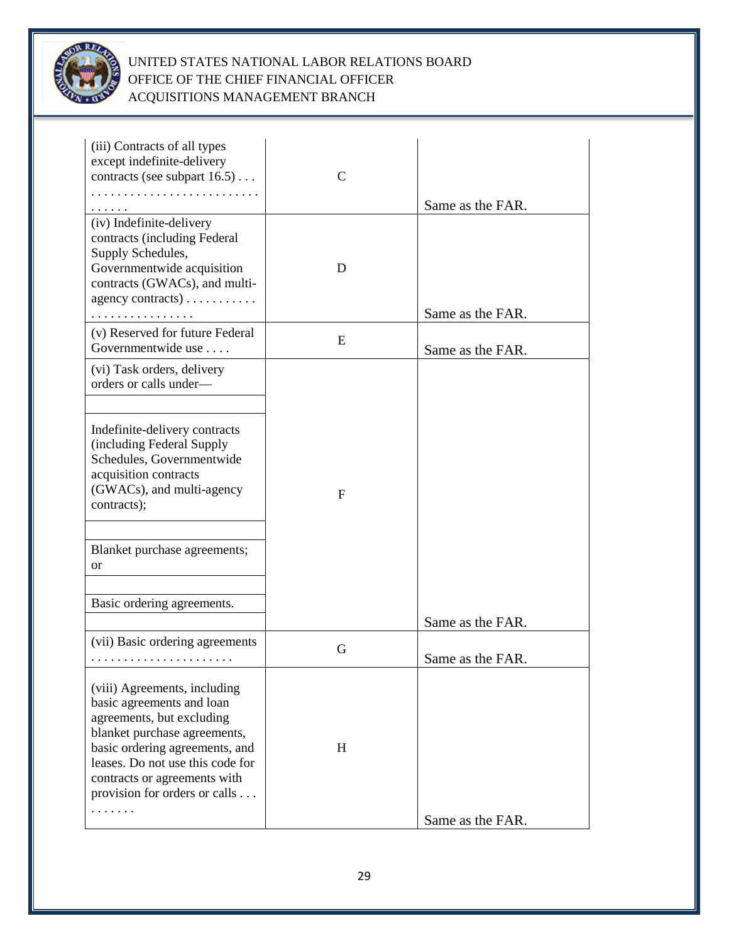

| (iii) Contracts of all types<br>except indefinite-delivery<br>contracts (see subpart 16.5)                                                                                                                                                                                                      | $\mathcal{C}$ | Same as the FAR. |
|-------------------------------------------------------------------------------------------------------------------------------------------------------------------------------------------------------------------------------------------------------------------------------------------------|---------------|------------------|
| (iv) Indefinite-delivery<br>contracts (including Federal<br>Supply Schedules,<br>Governmentwide acquisition<br>contracts (GWACs), and multi-<br>agency contracts)<br>.                                                                                                                          | D             | Same as the FAR. |
| (v) Reserved for future Federal<br>Governmentwide use                                                                                                                                                                                                                                           | E             | Same as the FAR. |
| (vi) Task orders, delivery<br>orders or calls under-<br>Indefinite-delivery contracts<br>(including Federal Supply<br>Schedules, Governmentwide<br>acquisition contracts<br>(GWACs), and multi-agency<br>contracts);<br>Blanket purchase agreements;<br><b>or</b><br>Basic ordering agreements. | F             | Same as the FAR. |
| (vii) Basic ordering agreements<br>.                                                                                                                                                                                                                                                            | G             | Same as the FAR. |
| (viii) Agreements, including<br>basic agreements and loan<br>agreements, but excluding<br>blanket purchase agreements,<br>basic ordering agreements, and<br>leases. Do not use this code for<br>contracts or agreements with<br>provision for orders or calls<br>.                              | H             | Same as the FAR. |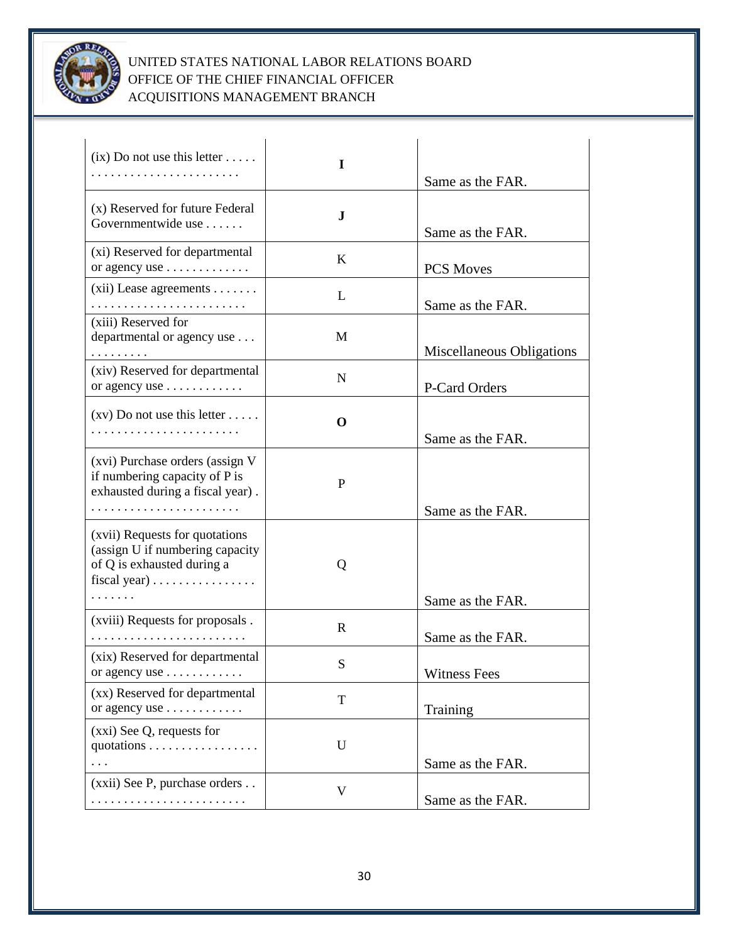

| $(ix)$ Do not use this letter $\dots$ .<br>.                                                                                                        | I           | Same as the FAR.          |
|-----------------------------------------------------------------------------------------------------------------------------------------------------|-------------|---------------------------|
| (x) Reserved for future Federal<br>Governmentwide use                                                                                               | ${\bf J}$   | Same as the FAR.          |
| (xi) Reserved for departmental<br>or agency use                                                                                                     | K           | <b>PCS Moves</b>          |
| $(xii)$ Lease agreements $\dots\dots$                                                                                                               | L           | Same as the FAR.          |
| (xiii) Reserved for<br>departmental or agency use<br>.                                                                                              | M           | Miscellaneous Obligations |
| (xiv) Reserved for departmental<br>or agency use                                                                                                    | $\mathbf N$ | P-Card Orders             |
| $(xv)$ Do not use this letter                                                                                                                       | $\mathbf 0$ | Same as the FAR.          |
| (xvi) Purchase orders (assign V<br>if numbering capacity of P is<br>exhausted during a fiscal year).                                                | P           | Same as the FAR.          |
| (xvii) Requests for quotations<br>(assign U if numbering capacity<br>of Q is exhausted during a<br>$fised year) \dots \dots \dots \dots \dots$<br>. | Q           | Same as the FAR.          |
| (xviii) Requests for proposals.                                                                                                                     | $\mathbf R$ | Same as the FAR.          |
| (xix) Reserved for departmental<br>or agency use                                                                                                    | S           | Witness Fees              |
| (xx) Reserved for departmental<br>or agency use                                                                                                     | T           | Training                  |
| $(xxi)$ See Q, requests for<br>quotations<br>$\cdots$                                                                                               | U           | Same as the FAR.          |
| (xxii) See P, purchase orders                                                                                                                       | V           | Same as the FAR.          |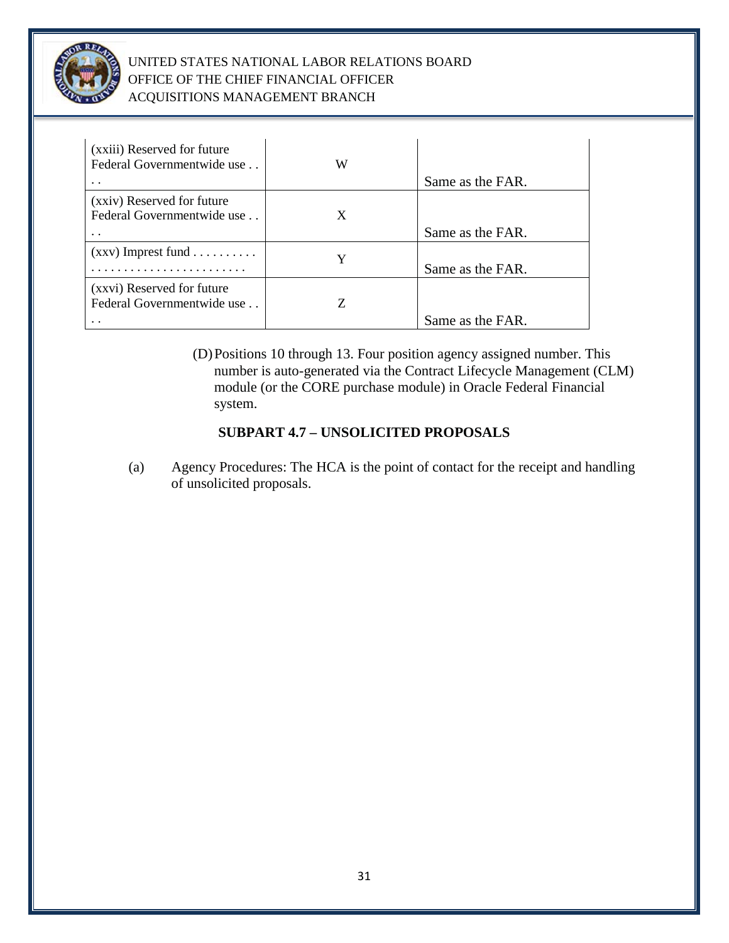

| (xxiii) Reserved for future<br>Federal Governmentwide use<br>$\cdot$ . | W | Same as the FAR. |
|------------------------------------------------------------------------|---|------------------|
| (xxiv) Reserved for future<br>Federal Governmentwide use<br>$\cdot$ .  | X | Same as the FAR. |
| $(xxy)$ Imprest fund                                                   | Y | Same as the FAR. |
| (xxvi) Reserved for future<br>Federal Governmentwide use<br>. .        | Z | Same as the FAR. |

(D)Positions 10 through 13. Four position agency assigned number. This number is auto-generated via the Contract Lifecycle Management (CLM) module (or the CORE purchase module) in Oracle Federal Financial system.

# **SUBPART 4.7 – UNSOLICITED PROPOSALS**

(a) Agency Procedures: The HCA is the point of contact for the receipt and handling of unsolicited proposals.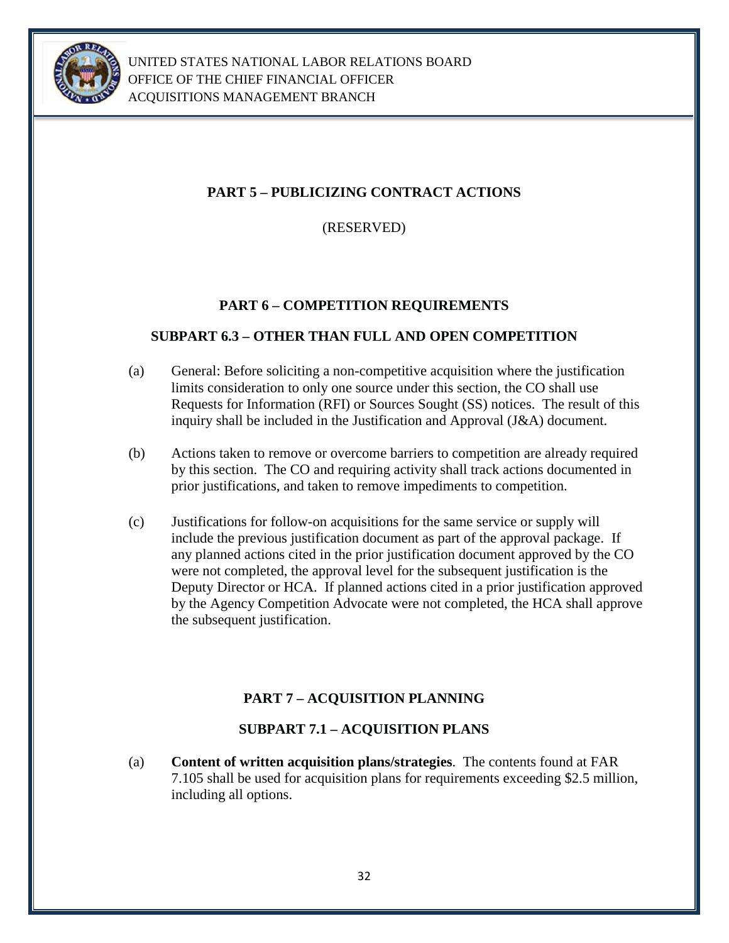

# **PART 5 – PUBLICIZING CONTRACT ACTIONS**

(RESERVED)

# **PART 6 – COMPETITION REQUIREMENTS**

# **SUBPART 6.3 – OTHER THAN FULL AND OPEN COMPETITION**

- (a) General: Before soliciting a non-competitive acquisition where the justification limits consideration to only one source under this section, the CO shall use Requests for Information (RFI) or Sources Sought (SS) notices. The result of this inquiry shall be included in the Justification and Approval (J&A) document.
- (b) Actions taken to remove or overcome barriers to competition are already required by this section. The CO and requiring activity shall track actions documented in prior justifications, and taken to remove impediments to competition.
- (c) Justifications for follow-on acquisitions for the same service or supply will include the previous justification document as part of the approval package. If any planned actions cited in the prior justification document approved by the CO were not completed, the approval level for the subsequent justification is the Deputy Director or HCA. If planned actions cited in a prior justification approved by the Agency Competition Advocate were not completed, the HCA shall approve the subsequent justification.

# **PART 7 – ACQUISITION PLANNING**

# **SUBPART 7.1 – ACQUISITION PLANS**

(a) **Content of written acquisition plans/strategies**. The contents found at FAR 7.105 shall be used for acquisition plans for requirements exceeding \$2.5 million, including all options.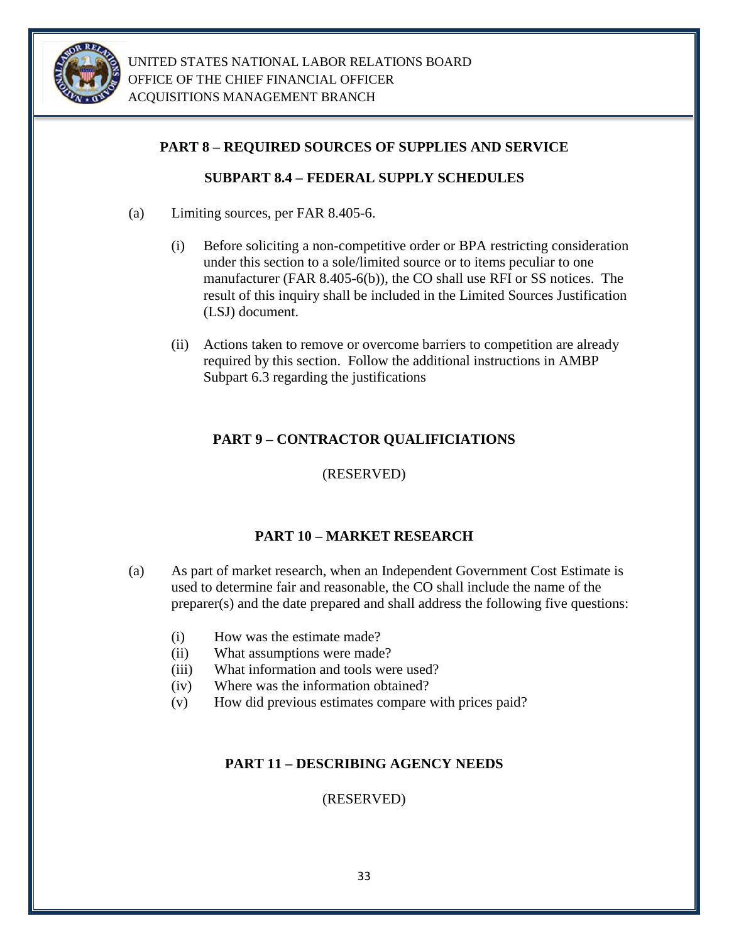

#### **PART 8 – REQUIRED SOURCES OF SUPPLIES AND SERVICE**

#### **SUBPART 8.4 – FEDERAL SUPPLY SCHEDULES**

- (a) Limiting sources, per FAR 8.405-6.
	- (i) Before soliciting a non-competitive order or BPA restricting consideration under this section to a sole/limited source or to items peculiar to one manufacturer (FAR 8.405-6(b)), the CO shall use RFI or SS notices. The result of this inquiry shall be included in the Limited Sources Justification (LSJ) document.
	- (ii) Actions taken to remove or overcome barriers to competition are already required by this section. Follow the additional instructions in AMBP Subpart 6.3 regarding the justifications

#### **PART 9 – CONTRACTOR QUALIFICIATIONS**

(RESERVED)

#### **PART 10 – MARKET RESEARCH**

- (a) As part of market research, when an Independent Government Cost Estimate is used to determine fair and reasonable, the CO shall include the name of the preparer(s) and the date prepared and shall address the following five questions:
	- (i) How was the estimate made?
	- (ii) What assumptions were made?
	- (iii) What information and tools were used?
	- (iv) Where was the information obtained?
	- (v) How did previous estimates compare with prices paid?

#### **PART 11 – DESCRIBING AGENCY NEEDS**

(RESERVED)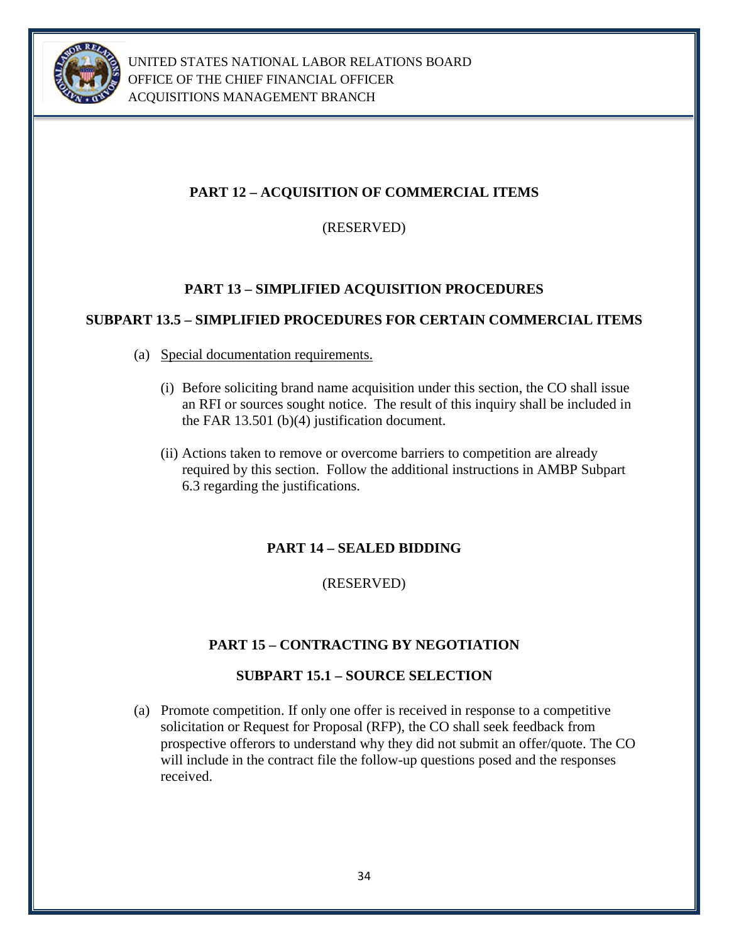

# **PART 12 – ACQUISITION OF COMMERCIAL ITEMS**

(RESERVED)

# **PART 13 – SIMPLIFIED ACQUISITION PROCEDURES**

# **SUBPART 13.5 – SIMPLIFIED PROCEDURES FOR CERTAIN COMMERCIAL ITEMS**

- (a) Special documentation requirements.
	- (i) Before soliciting brand name acquisition under this section, the CO shall issue an RFI or sources sought notice. The result of this inquiry shall be included in the FAR 13.501 (b)(4) justification document.
	- (ii) Actions taken to remove or overcome barriers to competition are already required by this section. Follow the additional instructions in AMBP Subpart 6.3 regarding the justifications.

# **PART 14 – SEALED BIDDING**

# (RESERVED)

# **PART 15 – CONTRACTING BY NEGOTIATION**

# **SUBPART 15.1 – SOURCE SELECTION**

(a) Promote competition. If only one offer is received in response to a competitive solicitation or Request for Proposal (RFP), the CO shall seek feedback from prospective offerors to understand why they did not submit an offer/quote. The CO will include in the contract file the follow-up questions posed and the responses received.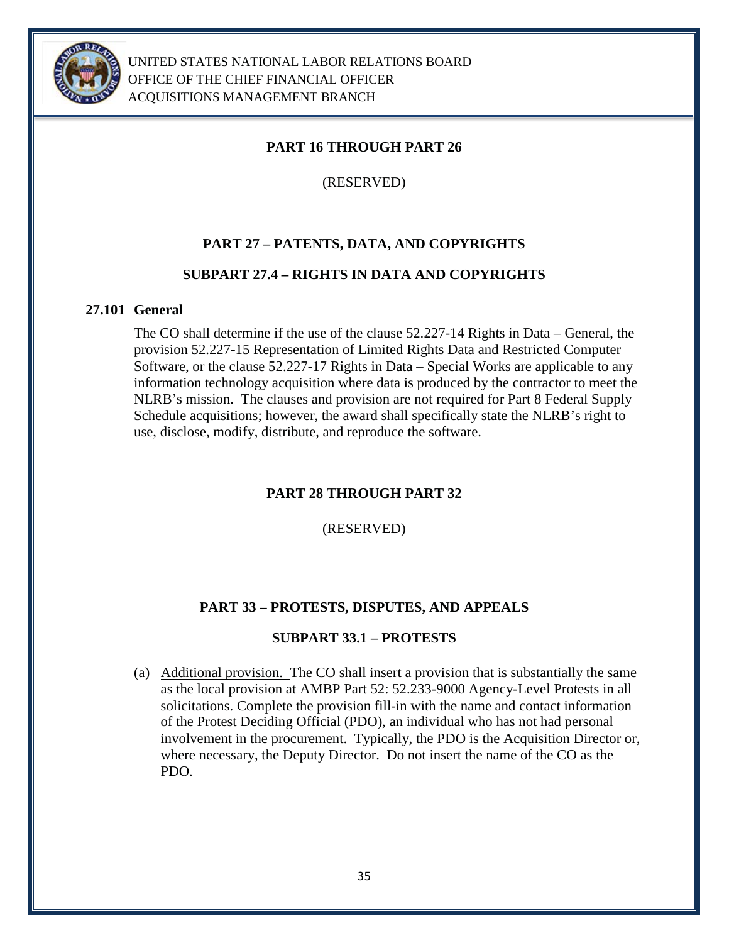

# **PART 16 THROUGH PART 26**

(RESERVED)

# **PART 27 – PATENTS, DATA, AND COPYRIGHTS SUBPART 27.4 – RIGHTS IN DATA AND COPYRIGHTS**

#### **27.101 General**

The CO shall determine if the use of the clause 52.227-14 Rights in Data – General, the provision 52.227-15 Representation of Limited Rights Data and Restricted Computer Software, or the clause 52.227-17 Rights in Data – Special Works are applicable to any information technology acquisition where data is produced by the contractor to meet the NLRB's mission. The clauses and provision are not required for Part 8 Federal Supply Schedule acquisitions; however, the award shall specifically state the NLRB's right to use, disclose, modify, distribute, and reproduce the software.

# **PART 28 THROUGH PART 32**

(RESERVED)

#### **PART 33 – PROTESTS, DISPUTES, AND APPEALS**

#### **SUBPART 33.1 – PROTESTS**

(a) Additional provision. The CO shall insert a provision that is substantially the same as the local provision at AMBP Part 52: 52.233-9000 Agency-Level Protests in all solicitations. Complete the provision fill-in with the name and contact information of the Protest Deciding Official (PDO), an individual who has not had personal involvement in the procurement. Typically, the PDO is the Acquisition Director or, where necessary, the Deputy Director. Do not insert the name of the CO as the PDO.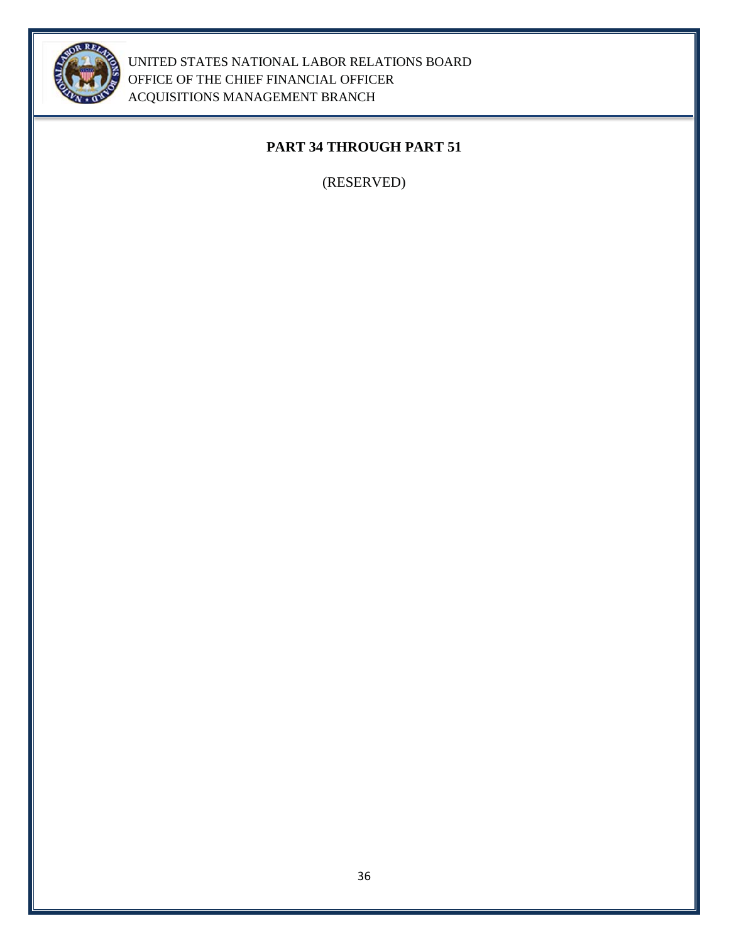

# **PART 34 THROUGH PART 51**

(RESERVED)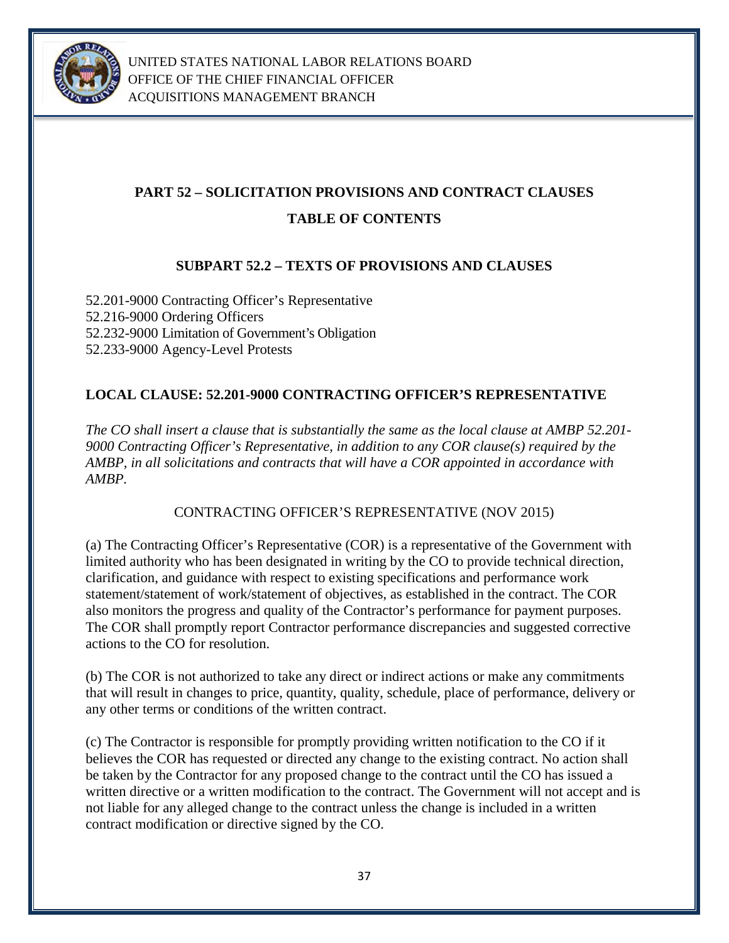

# **PART 52 – SOLICITATION PROVISIONS AND CONTRACT CLAUSES TABLE OF CONTENTS**

# **SUBPART 52.2 – TEXTS OF PROVISIONS AND CLAUSES**

52.201-9000 Contracting Officer's Representative 52.216-9000 Ordering Officers 52.232-9000 Limitation of Government's Obligation 52.233-9000 Agency-Level Protests

# **LOCAL CLAUSE: 52.201-9000 CONTRACTING OFFICER'S REPRESENTATIVE**

*The CO shall insert a clause that is substantially the same as the local clause at AMBP 52.201- 9000 Contracting Officer's Representative, in addition to any COR clause(s) required by the AMBP, in all solicitations and contracts that will have a COR appointed in accordance with AMBP.* 

# CONTRACTING OFFICER'S REPRESENTATIVE (NOV 2015)

(a) The Contracting Officer's Representative (COR) is a representative of the Government with limited authority who has been designated in writing by the CO to provide technical direction, clarification, and guidance with respect to existing specifications and performance work statement/statement of work/statement of objectives, as established in the contract. The COR also monitors the progress and quality of the Contractor's performance for payment purposes. The COR shall promptly report Contractor performance discrepancies and suggested corrective actions to the CO for resolution.

(b) The COR is not authorized to take any direct or indirect actions or make any commitments that will result in changes to price, quantity, quality, schedule, place of performance, delivery or any other terms or conditions of the written contract.

(c) The Contractor is responsible for promptly providing written notification to the CO if it believes the COR has requested or directed any change to the existing contract. No action shall be taken by the Contractor for any proposed change to the contract until the CO has issued a written directive or a written modification to the contract. The Government will not accept and is not liable for any alleged change to the contract unless the change is included in a written contract modification or directive signed by the CO.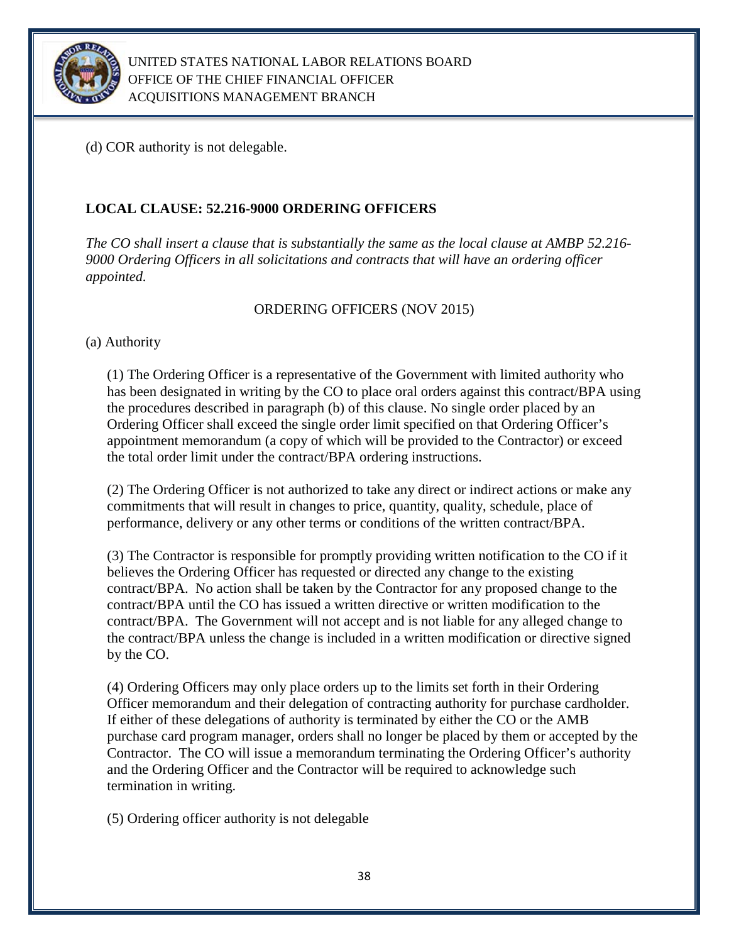

(d) COR authority is not delegable.

# **LOCAL CLAUSE: 52.216-9000 ORDERING OFFICERS**

*The CO shall insert a clause that is substantially the same as the local clause at AMBP 52.216- 9000 Ordering Officers in all solicitations and contracts that will have an ordering officer appointed.* 

# ORDERING OFFICERS (NOV 2015)

(a) Authority

(1) The Ordering Officer is a representative of the Government with limited authority who has been designated in writing by the CO to place oral orders against this contract/BPA using the procedures described in paragraph (b) of this clause. No single order placed by an Ordering Officer shall exceed the single order limit specified on that Ordering Officer's appointment memorandum (a copy of which will be provided to the Contractor) or exceed the total order limit under the contract/BPA ordering instructions.

(2) The Ordering Officer is not authorized to take any direct or indirect actions or make any commitments that will result in changes to price, quantity, quality, schedule, place of performance, delivery or any other terms or conditions of the written contract/BPA.

(3) The Contractor is responsible for promptly providing written notification to the CO if it believes the Ordering Officer has requested or directed any change to the existing contract/BPA. No action shall be taken by the Contractor for any proposed change to the contract/BPA until the CO has issued a written directive or written modification to the contract/BPA. The Government will not accept and is not liable for any alleged change to the contract/BPA unless the change is included in a written modification or directive signed by the CO.

(4) Ordering Officers may only place orders up to the limits set forth in their Ordering Officer memorandum and their delegation of contracting authority for purchase cardholder. If either of these delegations of authority is terminated by either the CO or the AMB purchase card program manager, orders shall no longer be placed by them or accepted by the Contractor. The CO will issue a memorandum terminating the Ordering Officer's authority and the Ordering Officer and the Contractor will be required to acknowledge such termination in writing.

(5) Ordering officer authority is not delegable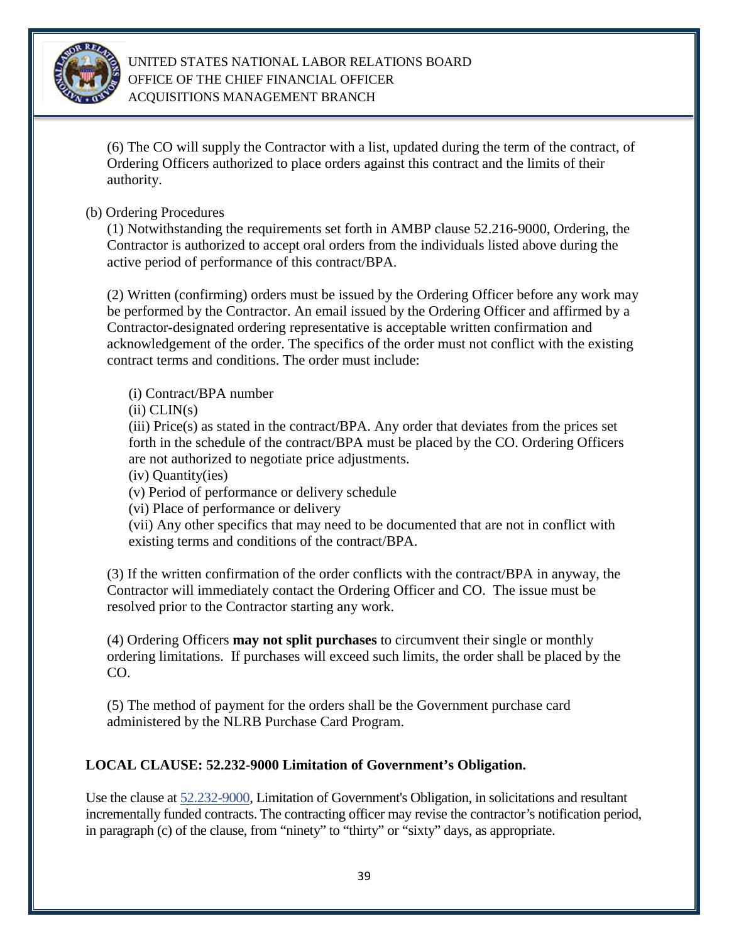

(6) The CO will supply the Contractor with a list, updated during the term of the contract, of Ordering Officers authorized to place orders against this contract and the limits of their authority.

# (b) Ordering Procedures

(1) Notwithstanding the requirements set forth in AMBP clause 52.216-9000, Ordering, the Contractor is authorized to accept oral orders from the individuals listed above during the active period of performance of this contract/BPA.

(2) Written (confirming) orders must be issued by the Ordering Officer before any work may be performed by the Contractor. An email issued by the Ordering Officer and affirmed by a Contractor-designated ordering representative is acceptable written confirmation and acknowledgement of the order. The specifics of the order must not conflict with the existing contract terms and conditions. The order must include:

(i) Contract/BPA number

 $(ii)$  CLIN $(s)$ 

(iii) Price(s) as stated in the contract/BPA. Any order that deviates from the prices set forth in the schedule of the contract/BPA must be placed by the CO. Ordering Officers are not authorized to negotiate price adjustments.

(iv) Quantity(ies)

(v) Period of performance or delivery schedule

(vi) Place of performance or delivery

(vii) Any other specifics that may need to be documented that are not in conflict with existing terms and conditions of the contract/BPA.

(3) If the written confirmation of the order conflicts with the contract/BPA in anyway, the Contractor will immediately contact the Ordering Officer and CO. The issue must be resolved prior to the Contractor starting any work.

(4) Ordering Officers **may not split purchases** to circumvent their single or monthly ordering limitations. If purchases will exceed such limits, the order shall be placed by the CO.

(5) The method of payment for the orders shall be the Government purchase card administered by the NLRB Purchase Card Program.

# **LOCAL CLAUSE: 52.232-9000 Limitation of Government's Obligation.**

Use the clause at 52.232-9000, Limitation of Government's Obligation, in solicitations and resultant incrementally funded contracts. The contracting officer may revise the contractor's notification period, in paragraph (c) of the clause, from "ninety" to "thirty" or "sixty" days, as appropriate.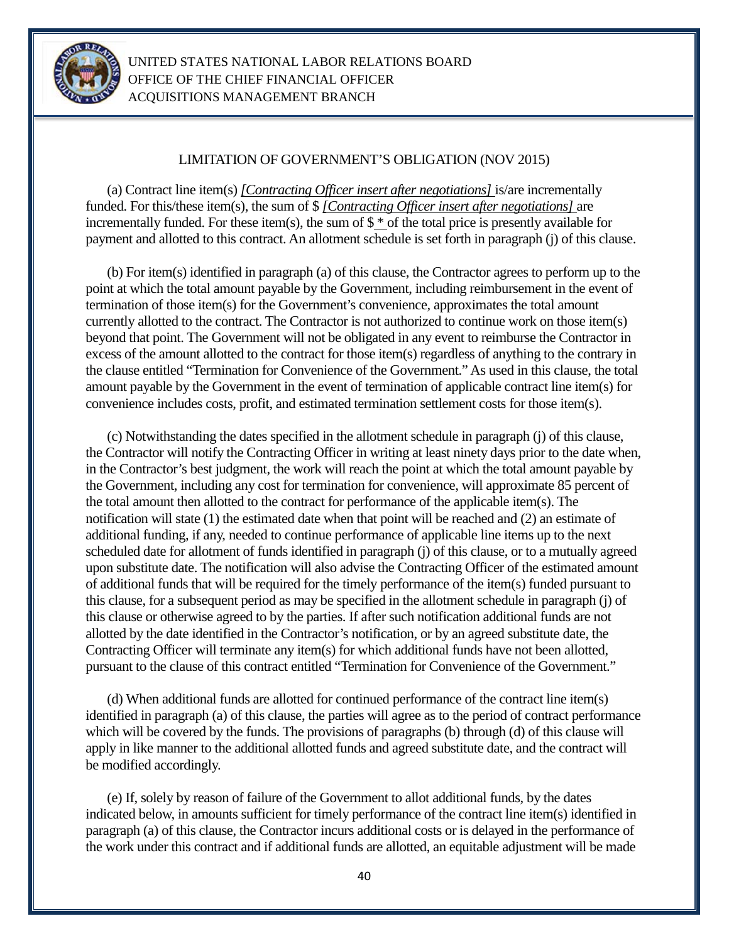

#### LIMITATION OF GOVERNMENT'S OBLIGATION (NOV 2015)

(a) Contract line item(s) *[Contracting Officer insert after negotiations]* is/are incrementally funded. For this/these item(s), the sum of \$ *[Contracting Officer insert after negotiations]* are incrementally funded. For these item(s), the sum of  $\frac{1}{2}$  \* of the total price is presently available for payment and allotted to this contract. An allotment schedule is set forth in paragraph (j) of this clause.

(b) For item(s) identified in paragraph (a) of this clause, the Contractor agrees to perform up to the point at which the total amount payable by the Government, including reimbursement in the event of termination of those item(s) for the Government's convenience, approximates the total amount currently allotted to the contract. The Contractor is not authorized to continue work on those item(s) beyond that point. The Government will not be obligated in any event to reimburse the Contractor in excess of the amount allotted to the contract for those item(s) regardless of anything to the contrary in the clause entitled "Termination for Convenience of the Government." As used in this clause, the total amount payable by the Government in the event of termination of applicable contract line item(s) for convenience includes costs, profit, and estimated termination settlement costs for those item(s).

(c) Notwithstanding the dates specified in the allotment schedule in paragraph (j) of this clause, the Contractor will notify the Contracting Officer in writing at least ninety days prior to the date when, in the Contractor's best judgment, the work will reach the point at which the total amount payable by the Government, including any cost for termination for convenience, will approximate 85 percent of the total amount then allotted to the contract for performance of the applicable item(s). The notification will state (1) the estimated date when that point will be reached and (2) an estimate of additional funding, if any, needed to continue performance of applicable line items up to the next scheduled date for allotment of funds identified in paragraph (j) of this clause, or to a mutually agreed upon substitute date. The notification will also advise the Contracting Officer of the estimated amount of additional funds that will be required for the timely performance of the item(s) funded pursuant to this clause, for a subsequent period as may be specified in the allotment schedule in paragraph (j) of this clause or otherwise agreed to by the parties. If after such notification additional funds are not allotted by the date identified in the Contractor's notification, or by an agreed substitute date, the Contracting Officer will terminate any item(s) for which additional funds have not been allotted, pursuant to the clause of this contract entitled "Termination for Convenience of the Government."

(d) When additional funds are allotted for continued performance of the contract line item(s) identified in paragraph (a) of this clause, the parties will agree as to the period of contract performance which will be covered by the funds. The provisions of paragraphs (b) through (d) of this clause will apply in like manner to the additional allotted funds and agreed substitute date, and the contract will be modified accordingly.

(e) If, solely by reason of failure of the Government to allot additional funds, by the dates indicated below, in amounts sufficient for timely performance of the contract line item(s) identified in paragraph (a) of this clause, the Contractor incurs additional costs or is delayed in the performance of the work under this contract and if additional funds are allotted, an equitable adjustment will be made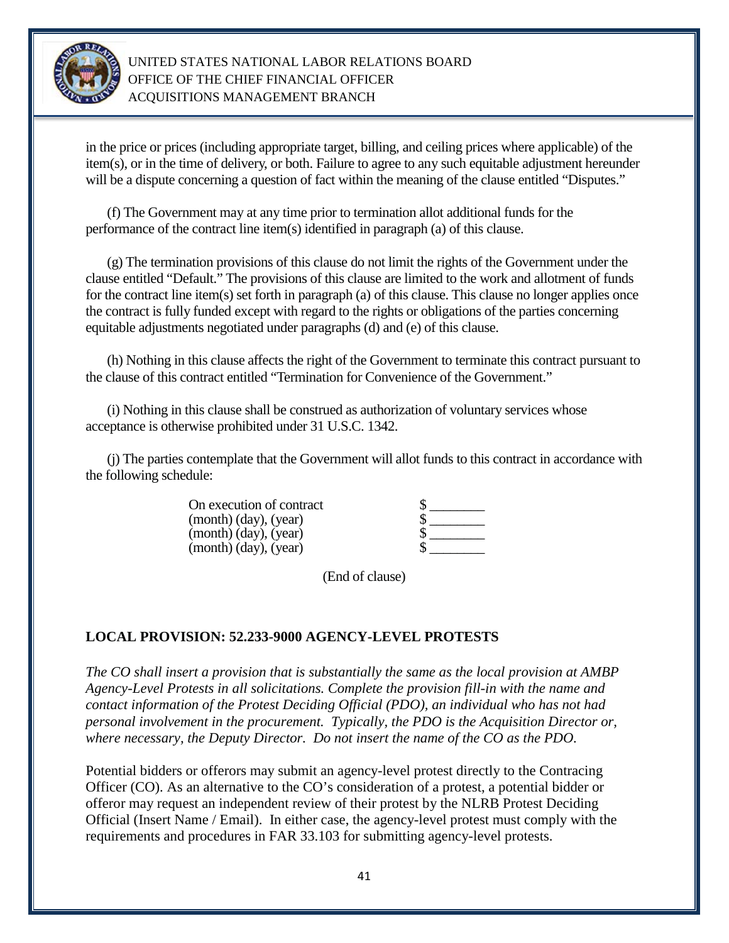

in the price or prices (including appropriate target, billing, and ceiling prices where applicable) of the item(s), or in the time of delivery, or both. Failure to agree to any such equitable adjustment hereunder will be a dispute concerning a question of fact within the meaning of the clause entitled "Disputes."

(f) The Government may at any time prior to termination allot additional funds for the performance of the contract line item(s) identified in paragraph (a) of this clause.

(g) The termination provisions of this clause do not limit the rights of the Government under the clause entitled "Default." The provisions of this clause are limited to the work and allotment of funds for the contract line item(s) set forth in paragraph (a) of this clause. This clause no longer applies once the contract is fully funded except with regard to the rights or obligations of the parties concerning equitable adjustments negotiated under paragraphs (d) and (e) of this clause.

(h) Nothing in this clause affects the right of the Government to terminate this contract pursuant to the clause of this contract entitled "Termination for Convenience of the Government."

(i) Nothing in this clause shall be construed as authorization of voluntary services whose acceptance is otherwise prohibited under 31 U.S.C. 1342.

(j) The parties contemplate that the Government will allot funds to this contract in accordance with the following schedule:

| On execution of contract |  |
|--------------------------|--|
| $(month)$ (day), (year)  |  |
| $(month)$ (day), (year)  |  |
| $(month)$ (day), (year)  |  |
|                          |  |

(End of clause)

#### **LOCAL PROVISION: 52.233-9000 AGENCY-LEVEL PROTESTS**

*The CO shall insert a provision that is substantially the same as the local provision at AMBP Agency-Level Protests in all solicitations. Complete the provision fill-in with the name and contact information of the Protest Deciding Official (PDO), an individual who has not had personal involvement in the procurement. Typically, the PDO is the Acquisition Director or, where necessary, the Deputy Director. Do not insert the name of the CO as the PDO.* 

Potential bidders or offerors may submit an agency-level protest directly to the Contracing Officer (CO). As an alternative to the CO's consideration of a protest, a potential bidder or offeror may request an independent review of their protest by the NLRB Protest Deciding Official (Insert Name / Email). In either case, the agency-level protest must comply with the requirements and procedures in FAR 33.103 for submitting agency-level protests.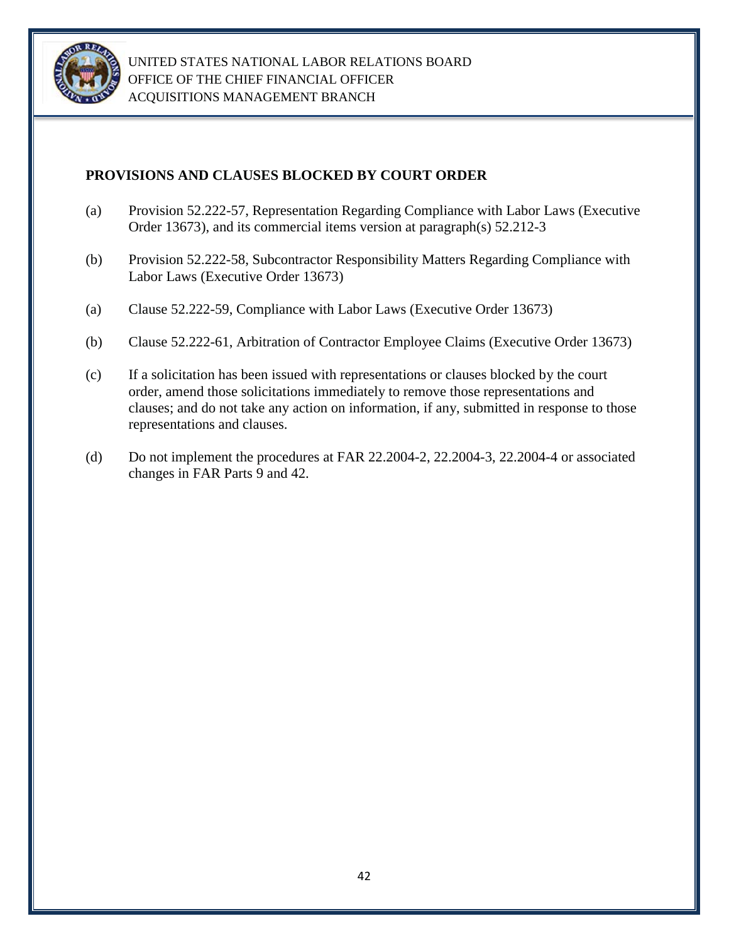

# **PROVISIONS AND CLAUSES BLOCKED BY COURT ORDER**

- (a) Provision 52.222-57, Representation Regarding Compliance with Labor Laws (Executive Order 13673), and its commercial items version at paragraph(s) 52.212-3
- (b) Provision 52.222-58, Subcontractor Responsibility Matters Regarding Compliance with Labor Laws (Executive Order 13673)
- (a) Clause 52.222-59, Compliance with Labor Laws (Executive Order 13673)
- (b) Clause 52.222-61, Arbitration of Contractor Employee Claims (Executive Order 13673)
- (c) If a solicitation has been issued with representations or clauses blocked by the court order, amend those solicitations immediately to remove those representations and clauses; and do not take any action on information, if any, submitted in response to those representations and clauses.
- (d) Do not implement the procedures at FAR 22.2004-2, 22.2004-3, 22.2004-4 or associated changes in FAR Parts 9 and 42.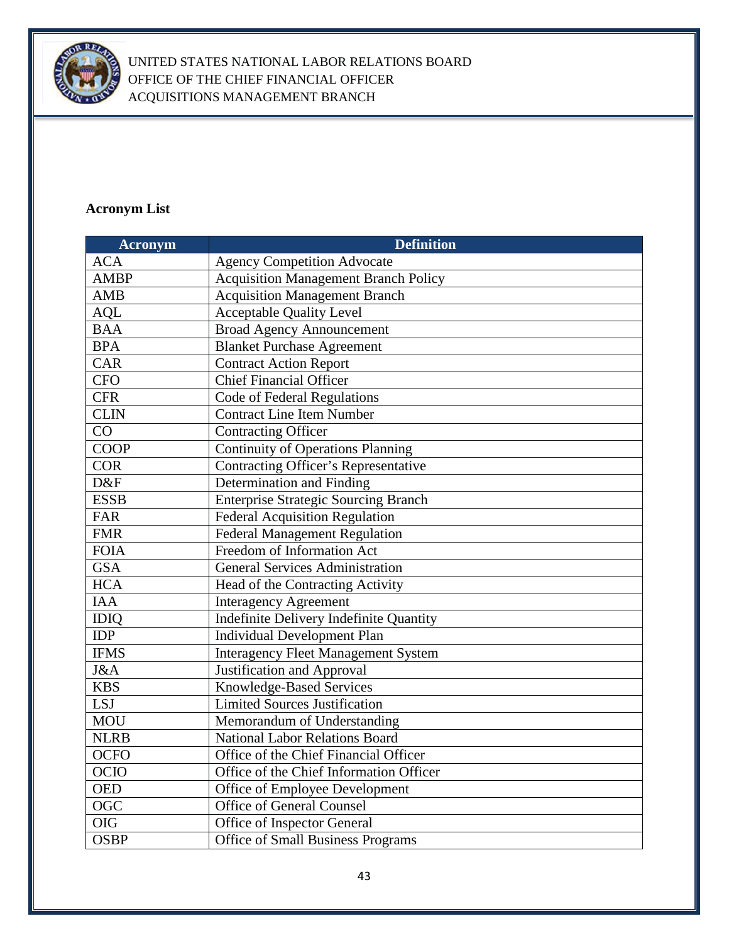

# **Acronym List**

| <b>Acronym</b>          | <b>Definition</b>                           |
|-------------------------|---------------------------------------------|
| <b>ACA</b>              | <b>Agency Competition Advocate</b>          |
| <b>AMBP</b>             | <b>Acquisition Management Branch Policy</b> |
| <b>AMB</b>              | <b>Acquisition Management Branch</b>        |
| <b>AQL</b>              | <b>Acceptable Quality Level</b>             |
| <b>BAA</b>              | <b>Broad Agency Announcement</b>            |
| <b>BPA</b>              | <b>Blanket Purchase Agreement</b>           |
| CAR                     | <b>Contract Action Report</b>               |
| <b>CFO</b>              | <b>Chief Financial Officer</b>              |
| <b>CFR</b>              | <b>Code of Federal Regulations</b>          |
| <b>CLIN</b>             | <b>Contract Line Item Number</b>            |
| CO                      | <b>Contracting Officer</b>                  |
| <b>COOP</b>             | <b>Continuity of Operations Planning</b>    |
| <b>COR</b>              | <b>Contracting Officer's Representative</b> |
| D&F                     | Determination and Finding                   |
| <b>ESSB</b>             | <b>Enterprise Strategic Sourcing Branch</b> |
| <b>FAR</b>              | <b>Federal Acquisition Regulation</b>       |
| <b>FMR</b>              | <b>Federal Management Regulation</b>        |
| <b>FOIA</b>             | Freedom of Information Act                  |
| $\overline{\text{GSA}}$ | <b>General Services Administration</b>      |
| <b>HCA</b>              | Head of the Contracting Activity            |
| <b>IAA</b>              | <b>Interagency Agreement</b>                |
| <b>IDIQ</b>             | Indefinite Delivery Indefinite Quantity     |
| IDP                     | <b>Individual Development Plan</b>          |
| <b>IFMS</b>             | <b>Interagency Fleet Management System</b>  |
| J&A                     | Justification and Approval                  |
| <b>KBS</b>              | Knowledge-Based Services                    |
| <b>LSJ</b>              | <b>Limited Sources Justification</b>        |
| <b>MOU</b>              | Memorandum of Understanding                 |
| <b>NLRB</b>             | <b>National Labor Relations Board</b>       |
| <b>OCFO</b>             | Office of the Chief Financial Officer       |
| <b>OCIO</b>             | Office of the Chief Information Officer     |
| <b>OED</b>              | Office of Employee Development              |
| <b>OGC</b>              | <b>Office of General Counsel</b>            |
| <b>OIG</b>              | Office of Inspector General                 |
| <b>OSBP</b>             | <b>Office of Small Business Programs</b>    |